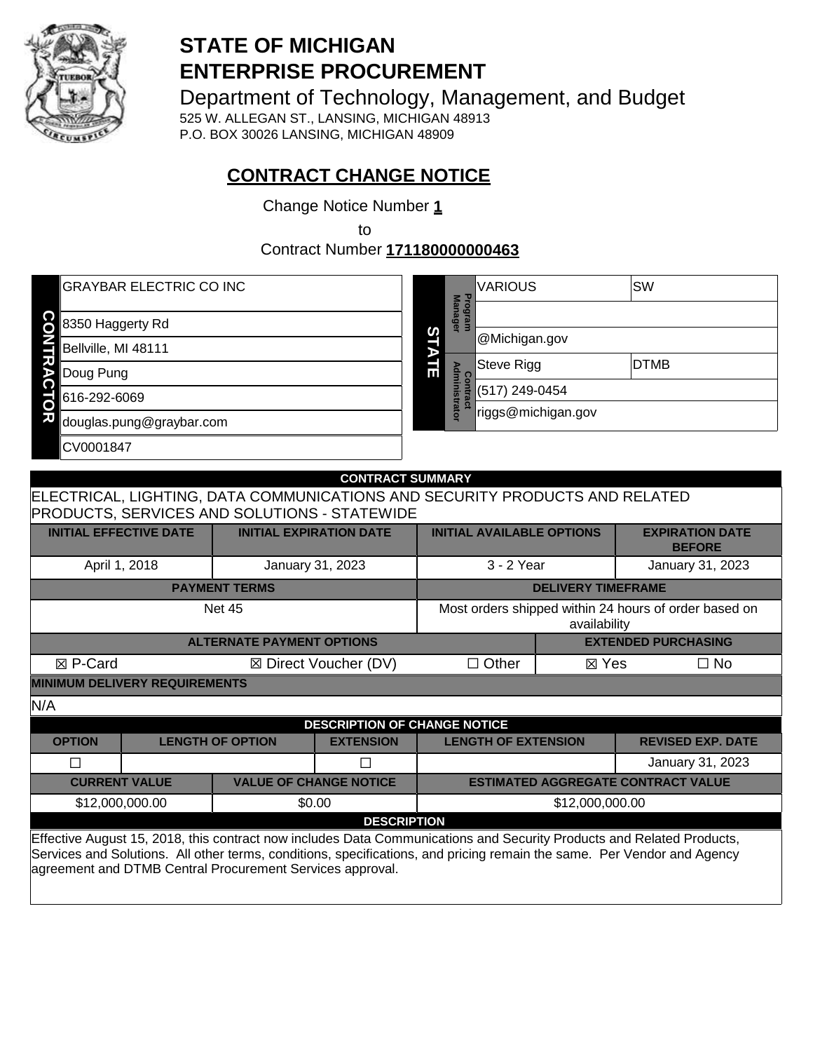

# **STATE OF MICHIGAN ENTERPRISE PROCUREMENT**

Department of Technology, Management, and Budget

525 W. ALLEGAN ST., LANSING, MICHIGAN 48913 P.O. BOX 30026 LANSING, MICHIGAN 48909

# **CONTRACT CHANGE NOTICE**

Change Notice Number **1**

to

Contract Number **171180000000463**

| <b>GRAYBAR ELECTRIC CO INC</b> |   |                                                                       | <b>VARIOUS</b>     | SW          |
|--------------------------------|---|-----------------------------------------------------------------------|--------------------|-------------|
| 8350 Haggerty Rd               |   | Man<br>o<br>о<br>$\omega$<br>$\overline{\mathbf{a}}$<br><b>G</b><br>⊟ |                    |             |
| Bellville, MI 48111            | ທ |                                                                       | @Michigan.gov      |             |
| Doug Pung                      | 긂 | Admin<br>ဒ္ဓ                                                          | Steve Rigg         | <b>DTMB</b> |
| 616-292-6069                   |   |                                                                       | (517) 249-0454     |             |
| 71<br>douglas.pung@graybar.com |   | $\omega$<br>ā                                                         | riggs@michigan.gov |             |
| CV0001847                      |   |                                                                       |                    |             |

|                                                                                                                                                                                                                                                                                                               | <b>CONTRACT SUMMARY</b>                                                                |                                                     |                                     |                                    |                           |                                           |  |
|---------------------------------------------------------------------------------------------------------------------------------------------------------------------------------------------------------------------------------------------------------------------------------------------------------------|----------------------------------------------------------------------------------------|-----------------------------------------------------|-------------------------------------|------------------------------------|---------------------------|-------------------------------------------|--|
|                                                                                                                                                                                                                                                                                                               | ELECTRICAL, LIGHTING, DATA COMMUNICATIONS AND SECURITY PRODUCTS AND RELATED            |                                                     |                                     |                                    |                           |                                           |  |
|                                                                                                                                                                                                                                                                                                               |                                                                                        | <b>PRODUCTS, SERVICES AND SOLUTIONS - STATEWIDE</b> |                                     |                                    |                           |                                           |  |
|                                                                                                                                                                                                                                                                                                               | <b>INITIAL EFFECTIVE DATE</b>                                                          | <b>INITIAL EXPIRATION DATE</b>                      |                                     | <b>INITIAL AVAILABLE OPTIONS</b>   |                           | <b>EXPIRATION DATE</b><br><b>BEFORE</b>   |  |
|                                                                                                                                                                                                                                                                                                               | April 1, 2018                                                                          | January 31, 2023                                    |                                     | 3 - 2 Year                         |                           | January 31, 2023                          |  |
|                                                                                                                                                                                                                                                                                                               |                                                                                        | <b>PAYMENT TERMS</b>                                |                                     |                                    | <b>DELIVERY TIMEFRAME</b> |                                           |  |
|                                                                                                                                                                                                                                                                                                               | Most orders shipped within 24 hours of order based on<br><b>Net 45</b><br>availability |                                                     |                                     |                                    |                           |                                           |  |
| <b>ALTERNATE PAYMENT OPTIONS</b><br><b>EXTENDED PURCHASING</b>                                                                                                                                                                                                                                                |                                                                                        |                                                     |                                     |                                    |                           |                                           |  |
| ⊠ P-Card                                                                                                                                                                                                                                                                                                      |                                                                                        |                                                     | ⊠ Direct Voucher (DV)               | $\Box$ Other<br>$\Box$ No<br>⊠ Yes |                           |                                           |  |
| <b>MINIMUM DELIVERY REQUIREMENTS</b>                                                                                                                                                                                                                                                                          |                                                                                        |                                                     |                                     |                                    |                           |                                           |  |
| N/A                                                                                                                                                                                                                                                                                                           |                                                                                        |                                                     |                                     |                                    |                           |                                           |  |
|                                                                                                                                                                                                                                                                                                               |                                                                                        |                                                     | <b>DESCRIPTION OF CHANGE NOTICE</b> |                                    |                           |                                           |  |
| <b>OPTION</b>                                                                                                                                                                                                                                                                                                 |                                                                                        | <b>LENGTH OF OPTION</b>                             | <b>EXTENSION</b>                    | <b>LENGTH OF EXTENSION</b>         |                           | <b>REVISED EXP. DATE</b>                  |  |
| П                                                                                                                                                                                                                                                                                                             |                                                                                        |                                                     |                                     |                                    |                           | January 31, 2023                          |  |
|                                                                                                                                                                                                                                                                                                               | <b>CURRENT VALUE</b>                                                                   | <b>VALUE OF CHANGE NOTICE</b>                       |                                     |                                    |                           | <b>ESTIMATED AGGREGATE CONTRACT VALUE</b> |  |
|                                                                                                                                                                                                                                                                                                               | \$12,000,000.00                                                                        | \$0.00                                              |                                     | \$12,000,000.00                    |                           |                                           |  |
| <b>DESCRIPTION</b>                                                                                                                                                                                                                                                                                            |                                                                                        |                                                     |                                     |                                    |                           |                                           |  |
| Effective August 15, 2018, this contract now includes Data Communications and Security Products and Related Products,<br>Services and Solutions. All other terms, conditions, specifications, and pricing remain the same. Per Vendor and Agency<br>agreement and DTMB Central Procurement Services approval. |                                                                                        |                                                     |                                     |                                    |                           |                                           |  |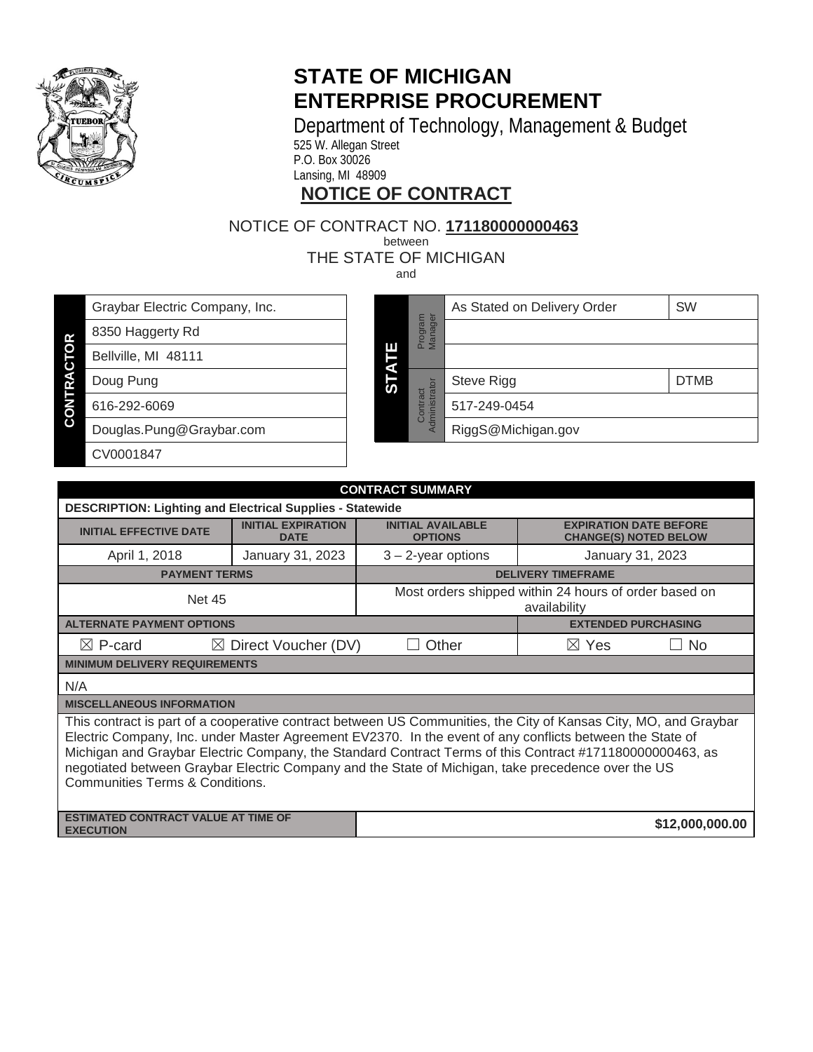<span id="page-1-3"></span>

# **STATE OF MICHIGAN ENTERPRISE PROCUREMENT**

Department of Technology, Management & Budget

525 W. Allegan Street P.O. Box 30026

Lansing, MI 48909

# **NOTICE OF CONTRACT**

# NOTICE OF CONTRACT NO. **<sup>171180000000463</sup>** . between

THE STATE OF MICHIGAN

and

| Graybar Electric Company, Inc. |  |
|--------------------------------|--|
| 8350 Haggerty Rd               |  |

Bellville, MI 48111

**CONTRACTOR CONTRACTOR** Doug Pung 616-292-6069

Douglas.Pung@Graybar.com

CV0001847

<span id="page-1-1"></span>

|             |                           | As Stated on Delivery Order | <b>SW</b>   |
|-------------|---------------------------|-----------------------------|-------------|
|             | Manager<br>Program        |                             |             |
| Ш           |                           |                             |             |
| <b>STAT</b> |                           | Steve Rigg                  | <b>DTMB</b> |
|             | Administrator<br>Contract | 517-249-0454                |             |
|             |                           | RiggS@Michigan.gov          |             |

<span id="page-1-2"></span><span id="page-1-0"></span>

| <b>CONTRACT SUMMARY</b>                                                                                                                                                                                                                                                                                                                                                                                                                                                           |                                          |                                                                                                             |                            |  |
|-----------------------------------------------------------------------------------------------------------------------------------------------------------------------------------------------------------------------------------------------------------------------------------------------------------------------------------------------------------------------------------------------------------------------------------------------------------------------------------|------------------------------------------|-------------------------------------------------------------------------------------------------------------|----------------------------|--|
| <b>DESCRIPTION: Lighting and Electrical Supplies - Statewide</b>                                                                                                                                                                                                                                                                                                                                                                                                                  |                                          |                                                                                                             |                            |  |
| <b>INITIAL EFFECTIVE DATE</b>                                                                                                                                                                                                                                                                                                                                                                                                                                                     | <b>INITIAL EXPIRATION</b><br><b>DATE</b> | <b>INITIAL AVAILABLE</b><br><b>EXPIRATION DATE BEFORE</b><br><b>CHANGE(S) NOTED BELOW</b><br><b>OPTIONS</b> |                            |  |
| April 1, 2018                                                                                                                                                                                                                                                                                                                                                                                                                                                                     | January 31, 2023                         | $3 - 2$ -year options                                                                                       | January 31, 2023           |  |
| <b>PAYMENT TERMS</b>                                                                                                                                                                                                                                                                                                                                                                                                                                                              |                                          |                                                                                                             | <b>DELIVERY TIMEFRAME</b>  |  |
| Most orders shipped within 24 hours of order based on<br><b>Net 45</b><br>availability                                                                                                                                                                                                                                                                                                                                                                                            |                                          |                                                                                                             |                            |  |
| <b>ALTERNATE PAYMENT OPTIONS</b>                                                                                                                                                                                                                                                                                                                                                                                                                                                  |                                          |                                                                                                             | <b>EXTENDED PURCHASING</b> |  |
| $\boxtimes$ P-card<br>Other<br>$\boxtimes$ Yes<br>$\boxtimes$<br>Direct Voucher (DV)<br>No.<br>$\Box$                                                                                                                                                                                                                                                                                                                                                                             |                                          |                                                                                                             |                            |  |
| <b>MINIMUM DELIVERY REQUIREMENTS</b>                                                                                                                                                                                                                                                                                                                                                                                                                                              |                                          |                                                                                                             |                            |  |
| N/A                                                                                                                                                                                                                                                                                                                                                                                                                                                                               |                                          |                                                                                                             |                            |  |
| <b>MISCELLANEOUS INFORMATION</b>                                                                                                                                                                                                                                                                                                                                                                                                                                                  |                                          |                                                                                                             |                            |  |
| This contract is part of a cooperative contract between US Communities, the City of Kansas City, MO, and Graybar<br>Electric Company, Inc. under Master Agreement EV2370. In the event of any conflicts between the State of<br>Michigan and Graybar Electric Company, the Standard Contract Terms of this Contract #171180000000463, as<br>negotiated between Graybar Electric Company and the State of Michigan, take precedence over the US<br>Communities Terms & Conditions. |                                          |                                                                                                             |                            |  |
| <b>ESTIMATED CONTRACT VALUE AT TIME OF</b><br>\$12,000,000.00<br><b>EXECUTION</b>                                                                                                                                                                                                                                                                                                                                                                                                 |                                          |                                                                                                             |                            |  |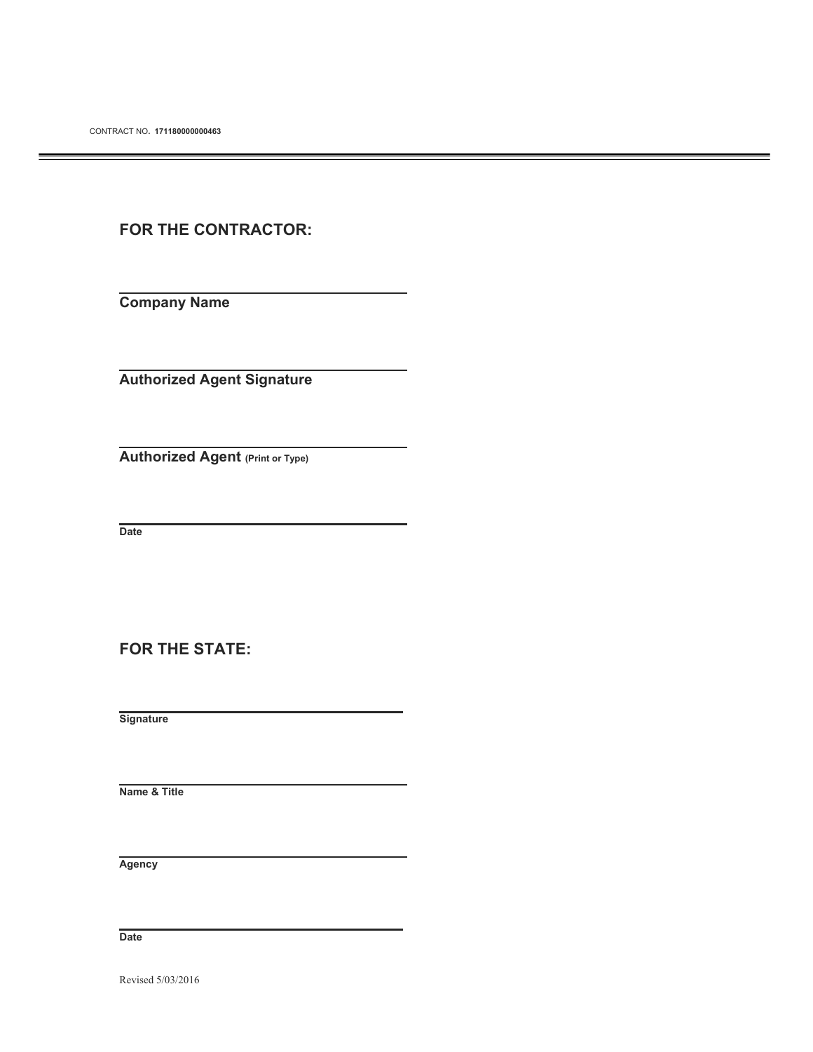## **FOR THE CONTRACTOR:**

**Company Name** 

**Authorized Agent Signature** 

**Authorized Agent (Print or Type)**

 **Date** 

**FOR THE STATE:** 

 **Signature** 

 **Name & Title** 

 **Agency** 

 **Date**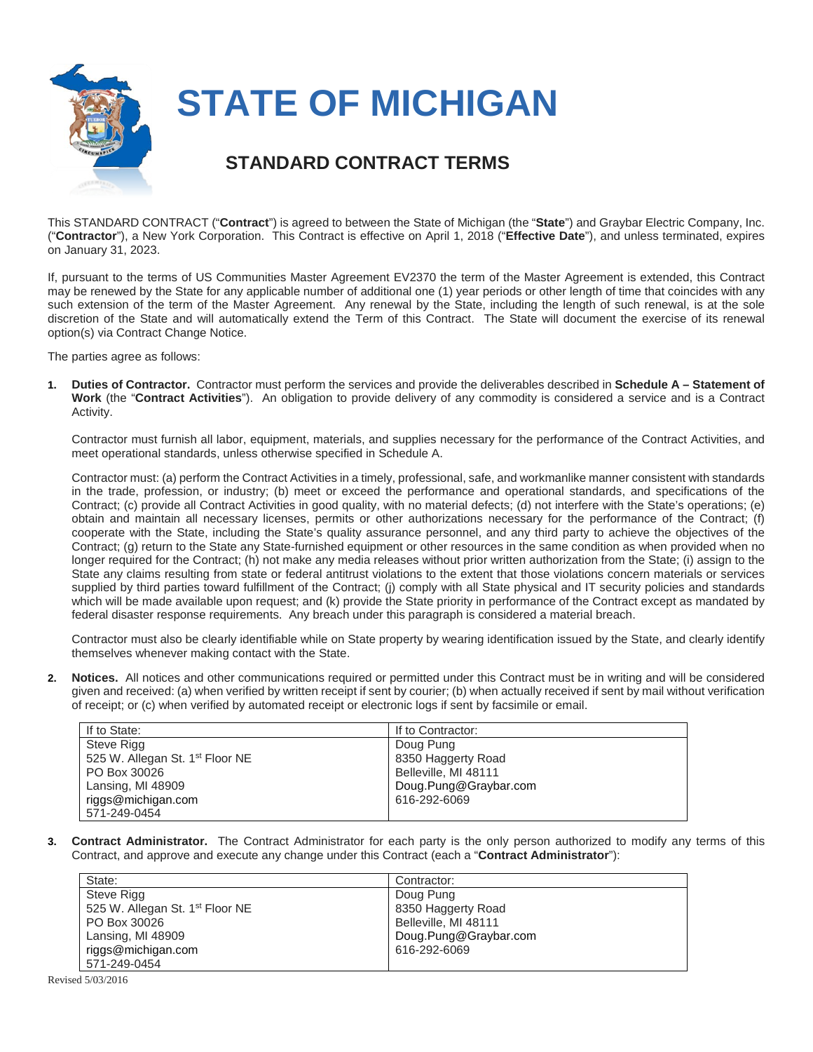

# **STATE OF MICHIGAN**

## **STANDARD CONTRACT TERMS**

This STANDARD CONTRACT ("**Contract**") is agreed to between the State of Michigan (the "**State**") and Graybar Electric Company, Inc. ("**Contractor**"), a New York Corporation. This Contract is effective on April 1, 2018 ("**Effective Date**"), and unless terminated, expires on January 31, 2023.

If, pursuant to the terms of US Communities Master Agreement EV2370 the term of the Master Agreement is extended, this Contract may be renewed by the State for any applicable number of additional one (1) year periods or other length of time that coincides with any such extension of the term of the Master Agreement. Any renewal by the State, including the length of such renewal, is at the sole discretion of the State and will automatically extend the Term of this Contract. The State will document the exercise of its renewal option(s) via Contract Change Notice.

The parties agree as follows:

**1. Duties of Contractor.** Contractor must perform the services and provide the deliverables described in **Schedule A – Statement of Work** (the "**Contract Activities**"). An obligation to provide delivery of any commodity is considered a service and is a Contract Activity.

Contractor must furnish all labor, equipment, materials, and supplies necessary for the performance of the Contract Activities, and meet operational standards, unless otherwise specified in Schedule A.

Contractor must: (a) perform the Contract Activities in a timely, professional, safe, and workmanlike manner consistent with standards in the trade, profession, or industry; (b) meet or exceed the performance and operational standards, and specifications of the Contract; (c) provide all Contract Activities in good quality, with no material defects; (d) not interfere with the State's operations; (e) obtain and maintain all necessary licenses, permits or other authorizations necessary for the performance of the Contract; (f) cooperate with the State, including the State's quality assurance personnel, and any third party to achieve the objectives of the Contract; (g) return to the State any State-furnished equipment or other resources in the same condition as when provided when no longer required for the Contract; (h) not make any media releases without prior written authorization from the State; (i) assign to the State any claims resulting from state or federal antitrust violations to the extent that those violations concern materials or services supplied by third parties toward fulfillment of the Contract; (i) comply with all State physical and IT security policies and standards which will be made available upon request; and (k) provide the State priority in performance of the Contract except as mandated by federal disaster response requirements. Any breach under this paragraph is considered a material breach.

Contractor must also be clearly identifiable while on State property by wearing identification issued by the State, and clearly identify themselves whenever making contact with the State.

**2. Notices.** All notices and other communications required or permitted under this Contract must be in writing and will be considered given and received: (a) when verified by written receipt if sent by courier; (b) when actually received if sent by mail without verification of receipt; or (c) when verified by automated receipt or electronic logs if sent by facsimile or email.

| If to State:                                | If to Contractor:     |
|---------------------------------------------|-----------------------|
| Steve Rigg                                  | Doug Pung             |
| 525 W. Allegan St. 1 <sup>st</sup> Floor NE | 8350 Haggerty Road    |
| PO Box 30026                                | Belleville, MI 48111  |
| Lansing, MI 48909                           | Doug.Pung@Graybar.com |
| riggs@michigan.com                          | 616-292-6069          |
| 571-249-0454                                |                       |

**3. Contract Administrator.** The Contract Administrator for each party is the only person authorized to modify any terms of this Contract, and approve and execute any change under this Contract (each a "**Contract Administrator**"):

| State:                                      | Contractor:           |
|---------------------------------------------|-----------------------|
| Steve Rigg                                  | Doug Pung             |
| 525 W. Allegan St. 1 <sup>st</sup> Floor NE | 8350 Haggerty Road    |
| PO Box 30026                                | Belleville, MI 48111  |
| Lansing, MI 48909                           | Doug.Pung@Graybar.com |
| riggs@michigan.com                          | 616-292-6069          |
| 571-249-0454                                |                       |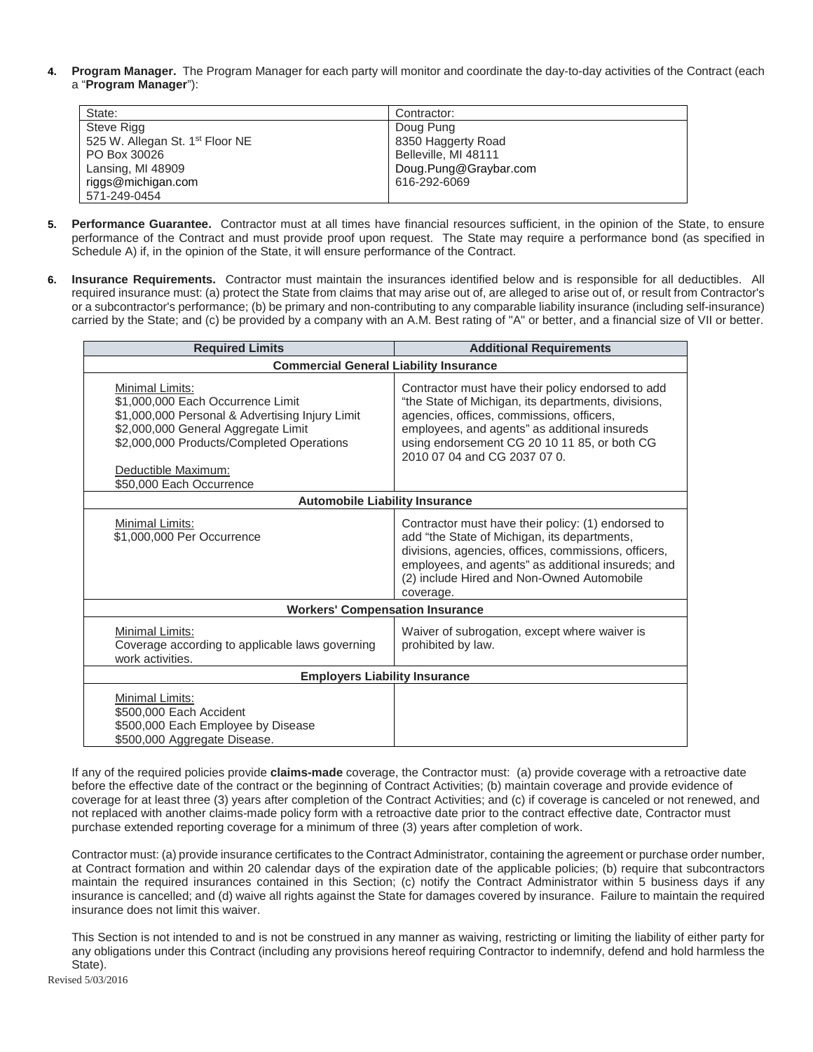**4. Program Manager.** The Program Manager for each party will monitor and coordinate the day-to-day activities of the Contract (each a "**Program Manager**"):

| State:                                      | Contractor:           |
|---------------------------------------------|-----------------------|
| Steve Rigg                                  | Doug Pung             |
| 525 W. Allegan St. 1 <sup>st</sup> Floor NE | 8350 Haggerty Road    |
| PO Box 30026                                | Belleville, MI 48111  |
| Lansing, MI 48909                           | Doug.Pung@Graybar.com |
| riggs@michigan.com                          | 616-292-6069          |
| 571-249-0454                                |                       |

- **5. Performance Guarantee.** Contractor must at all times have financial resources sufficient, in the opinion of the State, to ensure performance of the Contract and must provide proof upon request. The State may require a performance bond (as specified in Schedule A) if, in the opinion of the State, it will ensure performance of the Contract.
- **6. Insurance Requirements.** Contractor must maintain the insurances identified below and is responsible for all deductibles. All required insurance must: (a) protect the State from claims that may arise out of, are alleged to arise out of, or result from Contractor's or a subcontractor's performance; (b) be primary and non-contributing to any comparable liability insurance (including self-insurance) carried by the State; and (c) be provided by a company with an A.M. Best rating of "A" or better, and a financial size of VII or better.

| <b>Required Limits</b>                                                                                                                                                                                                                         | <b>Additional Requirements</b>                                                                                                                                                                                                                                                         |
|------------------------------------------------------------------------------------------------------------------------------------------------------------------------------------------------------------------------------------------------|----------------------------------------------------------------------------------------------------------------------------------------------------------------------------------------------------------------------------------------------------------------------------------------|
| <b>Commercial General Liability Insurance</b>                                                                                                                                                                                                  |                                                                                                                                                                                                                                                                                        |
| Minimal Limits:<br>\$1,000,000 Each Occurrence Limit<br>\$1,000,000 Personal & Advertising Injury Limit<br>\$2,000,000 General Aggregate Limit<br>\$2,000,000 Products/Completed Operations<br>Deductible Maximum:<br>\$50,000 Each Occurrence | Contractor must have their policy endorsed to add<br>"the State of Michigan, its departments, divisions,<br>agencies, offices, commissions, officers,<br>employees, and agents" as additional insureds<br>using endorsement CG 20 10 11 85, or both CG<br>2010 07 04 and CG 2037 07 0. |
| <b>Automobile Liability Insurance</b>                                                                                                                                                                                                          |                                                                                                                                                                                                                                                                                        |
| Minimal Limits:<br>\$1,000,000 Per Occurrence                                                                                                                                                                                                  | Contractor must have their policy: (1) endorsed to<br>add "the State of Michigan, its departments,<br>divisions, agencies, offices, commissions, officers,<br>employees, and agents" as additional insureds; and<br>(2) include Hired and Non-Owned Automobile<br>coverage.            |
| <b>Workers' Compensation Insurance</b>                                                                                                                                                                                                         |                                                                                                                                                                                                                                                                                        |
| Minimal Limits:<br>Coverage according to applicable laws governing<br>work activities.                                                                                                                                                         | Waiver of subrogation, except where waiver is<br>prohibited by law.                                                                                                                                                                                                                    |
| <b>Employers Liability Insurance</b>                                                                                                                                                                                                           |                                                                                                                                                                                                                                                                                        |
| Minimal Limits:<br>\$500,000 Each Accident<br>\$500,000 Each Employee by Disease<br>\$500,000 Aggregate Disease.                                                                                                                               |                                                                                                                                                                                                                                                                                        |

If any of the required policies provide **claims-made** coverage, the Contractor must: (a) provide coverage with a retroactive date before the effective date of the contract or the beginning of Contract Activities; (b) maintain coverage and provide evidence of coverage for at least three (3) years after completion of the Contract Activities; and (c) if coverage is canceled or not renewed, and not replaced with another claims-made policy form with a retroactive date prior to the contract effective date, Contractor must purchase extended reporting coverage for a minimum of three (3) years after completion of work.

Contractor must: (a) provide insurance certificates to the Contract Administrator, containing the agreement or purchase order number, at Contract formation and within 20 calendar days of the expiration date of the applicable policies; (b) require that subcontractors maintain the required insurances contained in this Section; (c) notify the Contract Administrator within 5 business days if any insurance is cancelled; and (d) waive all rights against the State for damages covered by insurance. Failure to maintain the required insurance does not limit this waiver.

This Section is not intended to and is not be construed in any manner as waiving, restricting or limiting the liability of either party for any obligations under this Contract (including any provisions hereof requiring Contractor to indemnify, defend and hold harmless the State).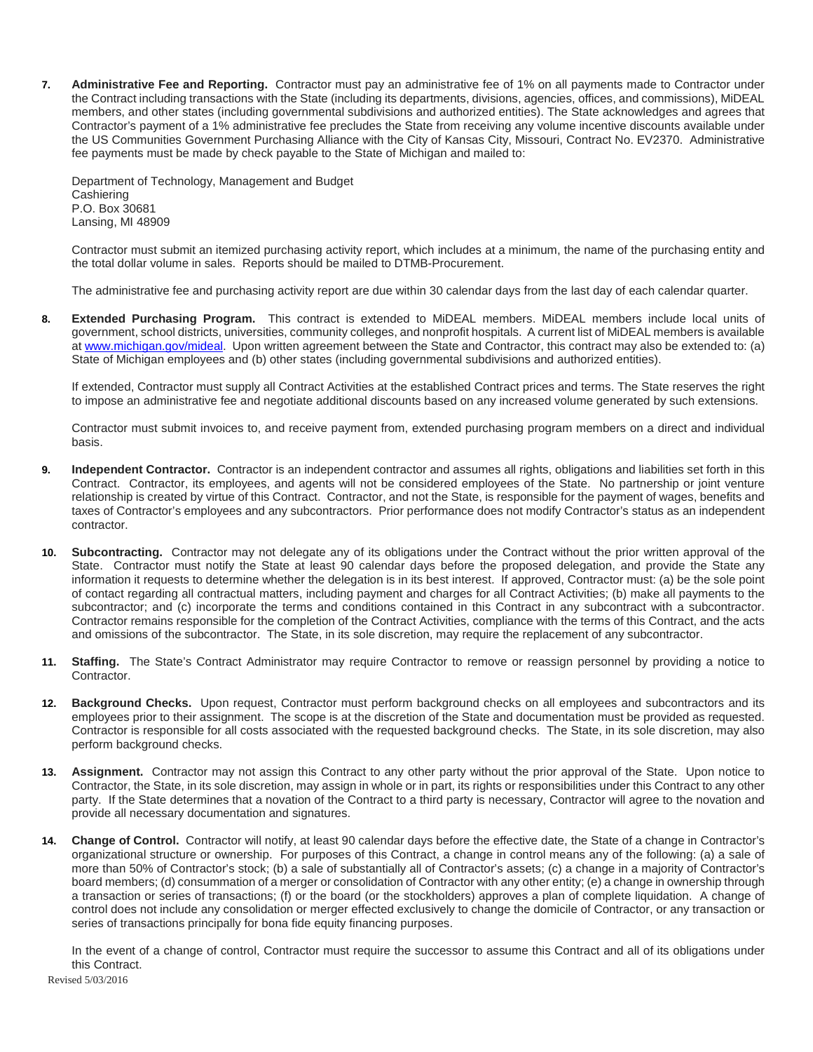**7. Administrative Fee and Reporting.** Contractor must pay an administrative fee of 1% on all payments made to Contractor under the Contract including transactions with the State (including its departments, divisions, agencies, offices, and commissions), MiDEAL members, and other states (including governmental subdivisions and authorized entities). The State acknowledges and agrees that Contractor's payment of a 1% administrative fee precludes the State from receiving any volume incentive discounts available under the US Communities Government Purchasing Alliance with the City of Kansas City, Missouri, Contract No. EV2370. Administrative fee payments must be made by check payable to the State of Michigan and mailed to:

Department of Technology, Management and Budget **Cashiering** P.O. Box 30681 Lansing, MI 48909

Contractor must submit an itemized purchasing activity report, which includes at a minimum, the name of the purchasing entity and the total dollar volume in sales. Reports should be mailed to DTMB-Procurement.

The administrative fee and purchasing activity report are due within 30 calendar days from the last day of each calendar quarter.

**8. Extended Purchasing Program.** This contract is extended to MiDEAL members. MiDEAL members include local units of government, school districts, universities, community colleges, and nonprofit hospitals. A current list of MiDEAL members is available at [www.michigan.gov/mideal.](http://www.michigan.gov/mideal) Upon written agreement between the State and Contractor, this contract may also be extended to: (a) State of Michigan employees and (b) other states (including governmental subdivisions and authorized entities).

If extended, Contractor must supply all Contract Activities at the established Contract prices and terms. The State reserves the right to impose an administrative fee and negotiate additional discounts based on any increased volume generated by such extensions.

Contractor must submit invoices to, and receive payment from, extended purchasing program members on a direct and individual basis.

- **9. Independent Contractor.** Contractor is an independent contractor and assumes all rights, obligations and liabilities set forth in this Contract. Contractor, its employees, and agents will not be considered employees of the State. No partnership or joint venture relationship is created by virtue of this Contract. Contractor, and not the State, is responsible for the payment of wages, benefits and taxes of Contractor's employees and any subcontractors. Prior performance does not modify Contractor's status as an independent contractor.
- **10. Subcontracting.** Contractor may not delegate any of its obligations under the Contract without the prior written approval of the State. Contractor must notify the State at least 90 calendar days before the proposed delegation, and provide the State any information it requests to determine whether the delegation is in its best interest. If approved, Contractor must: (a) be the sole point of contact regarding all contractual matters, including payment and charges for all Contract Activities; (b) make all payments to the subcontractor; and (c) incorporate the terms and conditions contained in this Contract in any subcontract with a subcontractor. Contractor remains responsible for the completion of the Contract Activities, compliance with the terms of this Contract, and the acts and omissions of the subcontractor. The State, in its sole discretion, may require the replacement of any subcontractor.
- **11. Staffing.** The State's Contract Administrator may require Contractor to remove or reassign personnel by providing a notice to Contractor.
- **12. Background Checks.** Upon request, Contractor must perform background checks on all employees and subcontractors and its employees prior to their assignment. The scope is at the discretion of the State and documentation must be provided as requested. Contractor is responsible for all costs associated with the requested background checks. The State, in its sole discretion, may also perform background checks.
- **13. Assignment.** Contractor may not assign this Contract to any other party without the prior approval of the State. Upon notice to Contractor, the State, in its sole discretion, may assign in whole or in part, its rights or responsibilities under this Contract to any other party. If the State determines that a novation of the Contract to a third party is necessary, Contractor will agree to the novation and provide all necessary documentation and signatures.
- **14. Change of Control.** Contractor will notify, at least 90 calendar days before the effective date, the State of a change in Contractor's organizational structure or ownership. For purposes of this Contract, a change in control means any of the following: (a) a sale of more than 50% of Contractor's stock; (b) a sale of substantially all of Contractor's assets; (c) a change in a majority of Contractor's board members; (d) consummation of a merger or consolidation of Contractor with any other entity; (e) a change in ownership through a transaction or series of transactions; (f) or the board (or the stockholders) approves a plan of complete liquidation. A change of control does not include any consolidation or merger effected exclusively to change the domicile of Contractor, or any transaction or series of transactions principally for bona fide equity financing purposes.

In the event of a change of control, Contractor must require the successor to assume this Contract and all of its obligations under this Contract.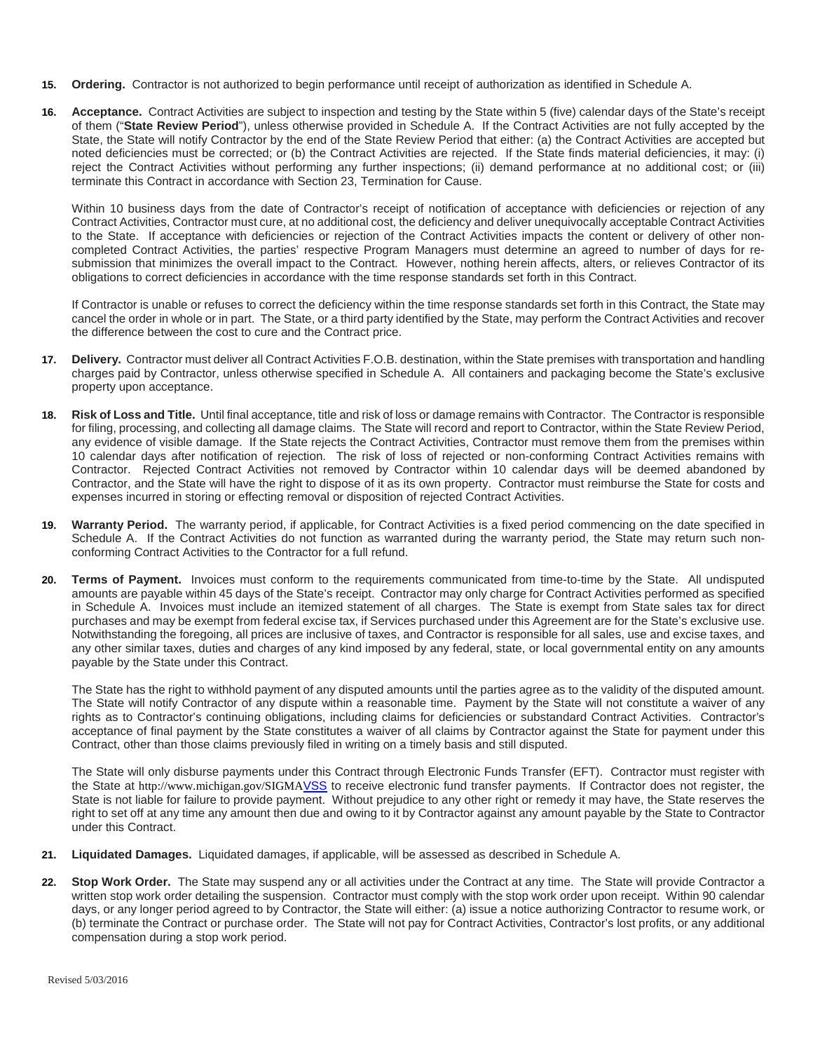- **15. Ordering.** Contractor is not authorized to begin performance until receipt of authorization as identified in Schedule A.
- **16. Acceptance.** Contract Activities are subject to inspection and testing by the State within 5 (five) calendar days of the State's receipt of them ("**State Review Period**"), unless otherwise provided in Schedule A. If the Contract Activities are not fully accepted by the State, the State will notify Contractor by the end of the State Review Period that either: (a) the Contract Activities are accepted but noted deficiencies must be corrected; or (b) the Contract Activities are rejected. If the State finds material deficiencies, it may: (i) reject the Contract Activities without performing any further inspections; (ii) demand performance at no additional cost; or (iii) terminate this Contract in accordance with Section 23, Termination for Cause.

Within 10 business days from the date of Contractor's receipt of notification of acceptance with deficiencies or rejection of any Contract Activities, Contractor must cure, at no additional cost, the deficiency and deliver unequivocally acceptable Contract Activities to the State. If acceptance with deficiencies or rejection of the Contract Activities impacts the content or delivery of other noncompleted Contract Activities, the parties' respective Program Managers must determine an agreed to number of days for resubmission that minimizes the overall impact to the Contract. However, nothing herein affects, alters, or relieves Contractor of its obligations to correct deficiencies in accordance with the time response standards set forth in this Contract.

If Contractor is unable or refuses to correct the deficiency within the time response standards set forth in this Contract, the State may cancel the order in whole or in part. The State, or a third party identified by the State, may perform the Contract Activities and recover the difference between the cost to cure and the Contract price.

- **17. Delivery.** Contractor must deliver all Contract Activities F.O.B. destination, within the State premises with transportation and handling charges paid by Contractor, unless otherwise specified in Schedule A. All containers and packaging become the State's exclusive property upon acceptance.
- **18. Risk of Loss and Title.** Until final acceptance, title and risk of loss or damage remains with Contractor. The Contractor is responsible for filing, processing, and collecting all damage claims. The State will record and report to Contractor, within the State Review Period, any evidence of visible damage. If the State rejects the Contract Activities, Contractor must remove them from the premises within 10 calendar days after notification of rejection. The risk of loss of rejected or non-conforming Contract Activities remains with Contractor. Rejected Contract Activities not removed by Contractor within 10 calendar days will be deemed abandoned by Contractor, and the State will have the right to dispose of it as its own property. Contractor must reimburse the State for costs and expenses incurred in storing or effecting removal or disposition of rejected Contract Activities.
- **19. Warranty Period.** The warranty period, if applicable, for Contract Activities is a fixed period commencing on the date specified in Schedule A. If the Contract Activities do not function as warranted during the warranty period, the State may return such nonconforming Contract Activities to the Contractor for a full refund.
- **20. Terms of Payment.** Invoices must conform to the requirements communicated from time-to-time by the State. All undisputed amounts are payable within 45 days of the State's receipt. Contractor may only charge for Contract Activities performed as specified in Schedule A. Invoices must include an itemized statement of all charges. The State is exempt from State sales tax for direct purchases and may be exempt from federal excise tax, if Services purchased under this Agreement are for the State's exclusive use. Notwithstanding the foregoing, all prices are inclusive of taxes, and Contractor is responsible for all sales, use and excise taxes, and any other similar taxes, duties and charges of any kind imposed by any federal, state, or local governmental entity on any amounts payable by the State under this Contract.

The State has the right to withhold payment of any disputed amounts until the parties agree as to the validity of the disputed amount. The State will notify Contractor of any dispute within a reasonable time. Payment by the State will not constitute a waiver of any rights as to Contractor's continuing obligations, including claims for deficiencies or substandard Contract Activities. Contractor's acceptance of final payment by the State constitutes a waiver of all claims by Contractor against the State for payment under this Contract, other than those claims previously filed in writing on a timely basis and still disputed.

The State will only disburse payments under this Contract through Electronic Funds Transfer (EFT). Contractor must register with the State at <http://www.michigan.gov/SIGMA>VSS to receive electronic fund transfer payments. If Contractor does not register, the State is not liable for failure to provide payment. Without prejudice to any other right or remedy it may have, the State reserves the right to set off at any time any amount then due and owing to it by Contractor against any amount payable by the State to Contractor under this Contract.

- **21. Liquidated Damages.** Liquidated damages, if applicable, will be assessed as described in Schedule A.
- **22. Stop Work Order.** The State may suspend any or all activities under the Contract at any time. The State will provide Contractor a written stop work order detailing the suspension. Contractor must comply with the stop work order upon receipt. Within 90 calendar days, or any longer period agreed to by Contractor, the State will either: (a) issue a notice authorizing Contractor to resume work, or (b) terminate the Contract or purchase order. The State will not pay for Contract Activities, Contractor's lost profits, or any additional compensation during a stop work period.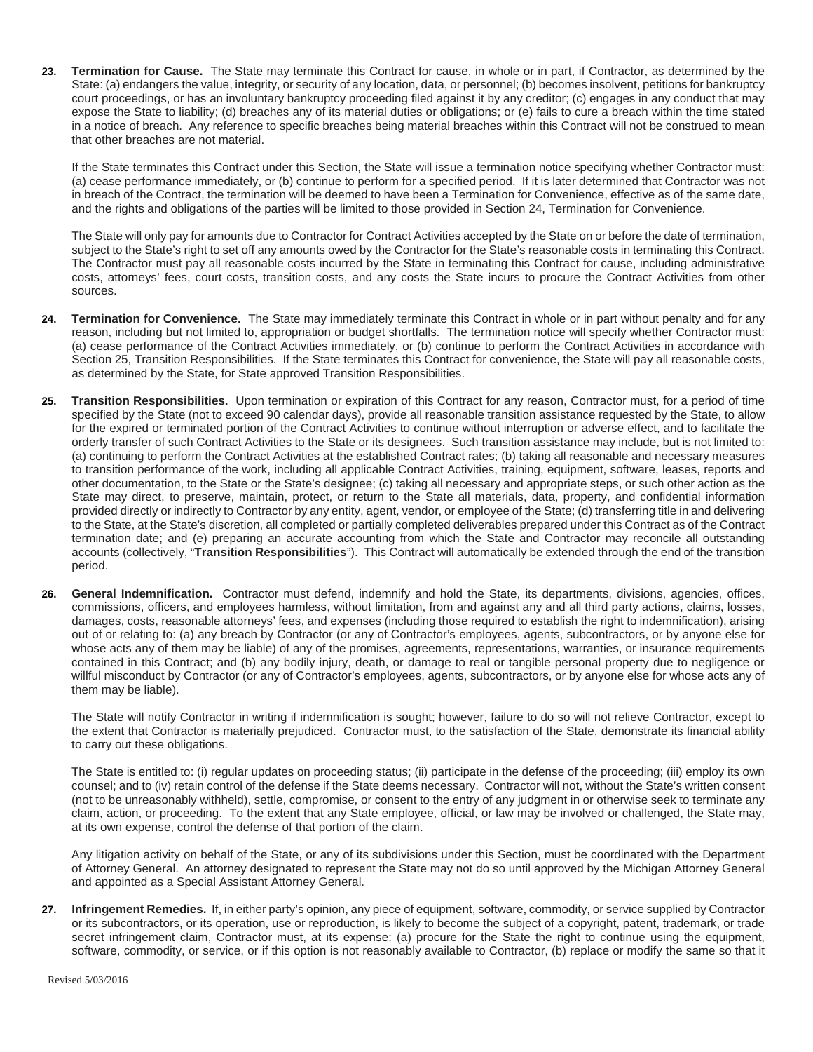<span id="page-7-1"></span>**23. Termination for Cause.** The State may terminate this Contract for cause, in whole or in part, if Contractor, as determined by the State: (a) endangers the value, integrity, or security of any location, data, or personnel; (b) becomes insolvent, petitions for bankruptcy court proceedings, or has an involuntary bankruptcy proceeding filed against it by any creditor; (c) engages in any conduct that may expose the State to liability; (d) breaches any of its material duties or obligations; or (e) fails to cure a breach within the time stated in a notice of breach. Any reference to specific breaches being material breaches within this Contract will not be construed to mean that other breaches are not material.

If the State terminates this Contract under this Section, the State will issue a termination notice specifying whether Contractor must: (a) cease performance immediately, or (b) continue to perform for a specified period. If it is later determined that Contractor was not in breach of the Contract, the termination will be deemed to have been a Termination for Convenience, effective as of the same date, and the rights and obligations of the parties will be limited to those provided in Section 24, Termination for Convenience.

The State will only pay for amounts due to Contractor for Contract Activities accepted by the State on or before the date of termination, subject to the State's right to set off any amounts owed by the Contractor for the State's reasonable costs in terminating this Contract. The Contractor must pay all reasonable costs incurred by the State in terminating this Contract for cause, including administrative costs, attorneys' fees, court costs, transition costs, and any costs the State incurs to procure the Contract Activities from other sources.

- **24. Termination for Convenience.** The State may immediately terminate this Contract in whole or in part without penalty and for any reason, including but not limited to, appropriation or budget shortfalls. The termination notice will specify whether Contractor must: (a) cease performance of the Contract Activities immediately, or (b) continue to perform the Contract Activities in accordance with Sectio[n 25,](#page-7-0) Transition Responsibilities. If the State terminates this Contract for convenience, the State will pay all reasonable costs, as determined by the State, for State approved Transition Responsibilities.
- <span id="page-7-0"></span>**25. Transition Responsibilities.** Upon termination or expiration of this Contract for any reason, Contractor must, for a period of time specified by the State (not to exceed 90 calendar days), provide all reasonable transition assistance requested by the State, to allow for the expired or terminated portion of the Contract Activities to continue without interruption or adverse effect, and to facilitate the orderly transfer of such Contract Activities to the State or its designees. Such transition assistance may include, but is not limited to: (a) continuing to perform the Contract Activities at the established Contract rates; (b) taking all reasonable and necessary measures to transition performance of the work, including all applicable Contract Activities, training, equipment, software, leases, reports and other documentation, to the State or the State's designee; (c) taking all necessary and appropriate steps, or such other action as the State may direct, to preserve, maintain, protect, or return to the State all materials, data, property, and confidential information provided directly or indirectly to Contractor by any entity, agent, vendor, or employee of the State; (d) transferring title in and delivering to the State, at the State's discretion, all completed or partially completed deliverables prepared under this Contract as of the Contract termination date; and (e) preparing an accurate accounting from which the State and Contractor may reconcile all outstanding accounts (collectively, "**Transition Responsibilities**"). This Contract will automatically be extended through the end of the transition period.
- **26. General Indemnification.** Contractor must defend, indemnify and hold the State, its departments, divisions, agencies, offices, commissions, officers, and employees harmless, without limitation, from and against any and all third party actions, claims, losses, damages, costs, reasonable attorneys' fees, and expenses (including those required to establish the right to indemnification), arising out of or relating to: (a) any breach by Contractor (or any of Contractor's employees, agents, subcontractors, or by anyone else for whose acts any of them may be liable) of any of the promises, agreements, representations, warranties, or insurance requirements contained in this Contract; and (b) any bodily injury, death, or damage to real or tangible personal property due to negligence or willful misconduct by Contractor (or any of Contractor's employees, agents, subcontractors, or by anyone else for whose acts any of them may be liable).

The State will notify Contractor in writing if indemnification is sought; however, failure to do so will not relieve Contractor, except to the extent that Contractor is materially prejudiced. Contractor must, to the satisfaction of the State, demonstrate its financial ability to carry out these obligations.

The State is entitled to: (i) regular updates on proceeding status; (ii) participate in the defense of the proceeding; (iii) employ its own counsel; and to (iv) retain control of the defense if the State deems necessary. Contractor will not, without the State's written consent (not to be unreasonably withheld), settle, compromise, or consent to the entry of any judgment in or otherwise seek to terminate any claim, action, or proceeding. To the extent that any State employee, official, or law may be involved or challenged, the State may, at its own expense, control the defense of that portion of the claim.

Any litigation activity on behalf of the State, or any of its subdivisions under this Section, must be coordinated with the Department of Attorney General. An attorney designated to represent the State may not do so until approved by the Michigan Attorney General and appointed as a Special Assistant Attorney General.

**27. Infringement Remedies.** If, in either party's opinion, any piece of equipment, software, commodity, or service supplied by Contractor or its subcontractors, or its operation, use or reproduction, is likely to become the subject of a copyright, patent, trademark, or trade secret infringement claim, Contractor must, at its expense: (a) procure for the State the right to continue using the equipment, software, commodity, or service, or if this option is not reasonably available to Contractor, (b) replace or modify the same so that it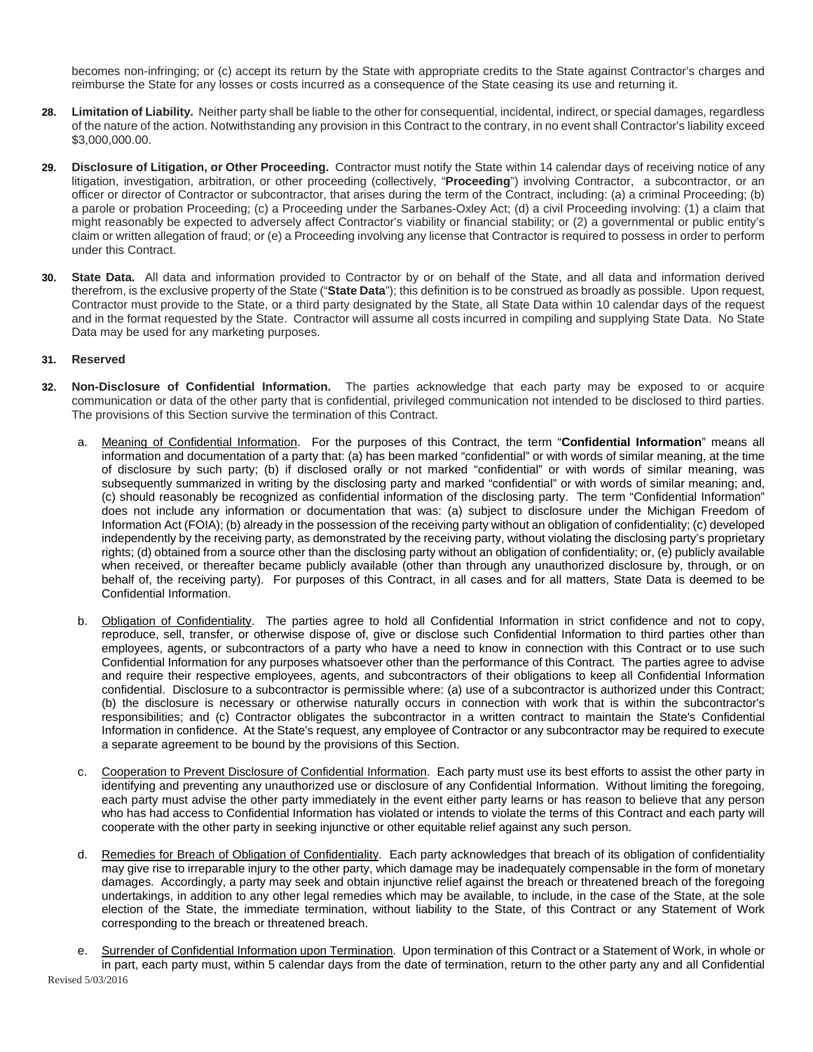becomes non-infringing; or (c) accept its return by the State with appropriate credits to the State against Contractor's charges and reimburse the State for any losses or costs incurred as a consequence of the State ceasing its use and returning it.

- **28. Limitation of Liability.** Neither party shall be liable to the other for consequential, incidental, indirect, or special damages, regardless of the nature of the action. Notwithstanding any provision in this Contract to the contrary, in no event shall Contractor's liability exceed \$3,000,000.00.
- **29. Disclosure of Litigation, or Other Proceeding.** Contractor must notify the State within 14 calendar days of receiving notice of any litigation, investigation, arbitration, or other proceeding (collectively, "**Proceeding**") involving Contractor, a subcontractor, or an officer or director of Contractor or subcontractor, that arises during the term of the Contract, including: (a) a criminal Proceeding; (b) a parole or probation Proceeding; (c) a Proceeding under the Sarbanes-Oxley Act; (d) a civil Proceeding involving: (1) a claim that might reasonably be expected to adversely affect Contractor's viability or financial stability; or (2) a governmental or public entity's claim or written allegation of fraud; or (e) a Proceeding involving any license that Contractor is required to possess in order to perform under this Contract.
- **30. State Data.** All data and information provided to Contractor by or on behalf of the State, and all data and information derived therefrom, is the exclusive property of the State ("**State Data**"); this definition is to be construed as broadly as possible. Upon request, Contractor must provide to the State, or a third party designated by the State, all State Data within 10 calendar days of the request and in the format requested by the State. Contractor will assume all costs incurred in compiling and supplying State Data. No State Data may be used for any marketing purposes.

#### **31. Reserved**

- **32. Non-Disclosure of Confidential Information.** The parties acknowledge that each party may be exposed to or acquire communication or data of the other party that is confidential, privileged communication not intended to be disclosed to third parties. The provisions of this Section survive the termination of this Contract.
	- a. Meaning of Confidential Information. For the purposes of this Contract, the term "**Confidential Information**" means all information and documentation of a party that: (a) has been marked "confidential" or with words of similar meaning, at the time of disclosure by such party; (b) if disclosed orally or not marked "confidential" or with words of similar meaning, was subsequently summarized in writing by the disclosing party and marked "confidential" or with words of similar meaning; and, (c) should reasonably be recognized as confidential information of the disclosing party. The term "Confidential Information" does not include any information or documentation that was: (a) subject to disclosure under the Michigan Freedom of Information Act (FOIA); (b) already in the possession of the receiving party without an obligation of confidentiality; (c) developed independently by the receiving party, as demonstrated by the receiving party, without violating the disclosing party's proprietary rights; (d) obtained from a source other than the disclosing party without an obligation of confidentiality; or, (e) publicly available when received, or thereafter became publicly available (other than through any unauthorized disclosure by, through, or on behalf of, the receiving party). For purposes of this Contract, in all cases and for all matters, State Data is deemed to be Confidential Information.
	- b. Obligation of Confidentiality. The parties agree to hold all Confidential Information in strict confidence and not to copy, reproduce, sell, transfer, or otherwise dispose of, give or disclose such Confidential Information to third parties other than employees, agents, or subcontractors of a party who have a need to know in connection with this Contract or to use such Confidential Information for any purposes whatsoever other than the performance of this Contract. The parties agree to advise and require their respective employees, agents, and subcontractors of their obligations to keep all Confidential Information confidential. Disclosure to a subcontractor is permissible where: (a) use of a subcontractor is authorized under this Contract; (b) the disclosure is necessary or otherwise naturally occurs in connection with work that is within the subcontractor's responsibilities; and (c) Contractor obligates the subcontractor in a written contract to maintain the State's Confidential Information in confidence. At the State's request, any employee of Contractor or any subcontractor may be required to execute a separate agreement to be bound by the provisions of this Section.
	- c. Cooperation to Prevent Disclosure of Confidential Information. Each party must use its best efforts to assist the other party in identifying and preventing any unauthorized use or disclosure of any Confidential Information. Without limiting the foregoing, each party must advise the other party immediately in the event either party learns or has reason to believe that any person who has had access to Confidential Information has violated or intends to violate the terms of this Contract and each party will cooperate with the other party in seeking injunctive or other equitable relief against any such person.
	- d. Remedies for Breach of Obligation of Confidentiality. Each party acknowledges that breach of its obligation of confidentiality may give rise to irreparable injury to the other party, which damage may be inadequately compensable in the form of monetary damages. Accordingly, a party may seek and obtain injunctive relief against the breach or threatened breach of the foregoing undertakings, in addition to any other legal remedies which may be available, to include, in the case of the State, at the sole election of the State, the immediate termination, without liability to the State, of this Contract or any Statement of Work corresponding to the breach or threatened breach.
- Revised 5/03/2016 Surrender of Confidential Information upon Termination. Upon termination of this Contract or a Statement of Work, in whole or in part, each party must, within 5 calendar days from the date of termination, return to the other party any and all Confidential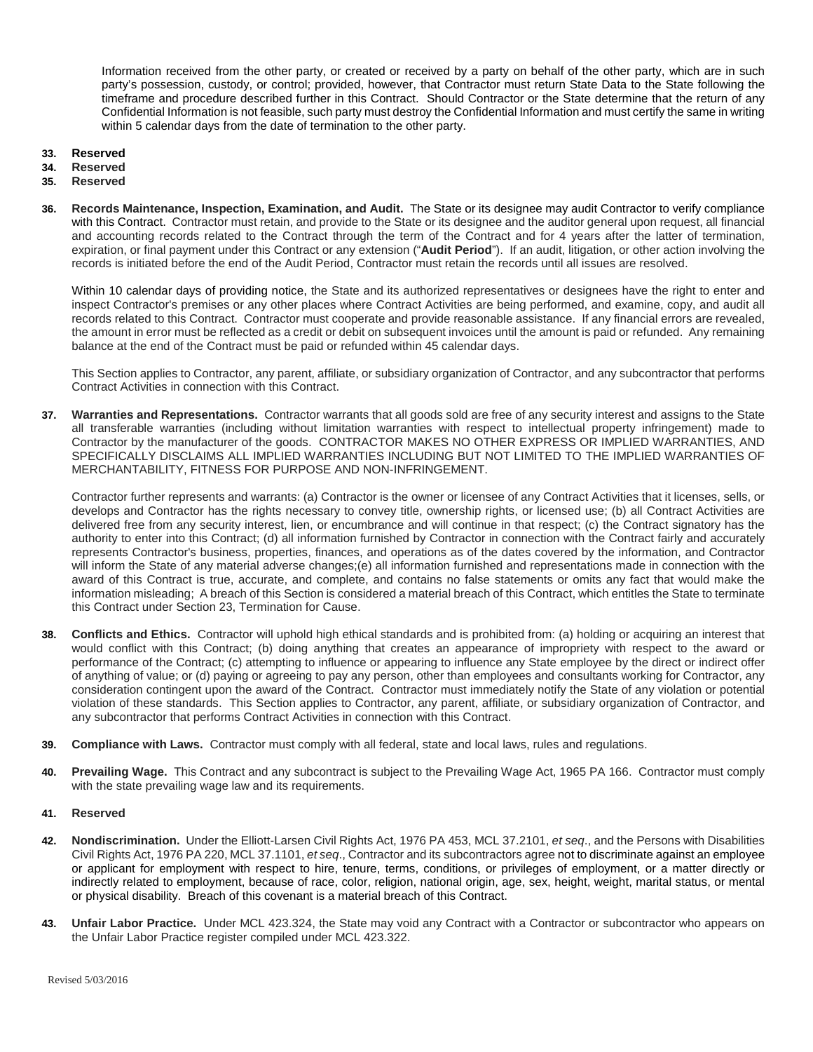Information received from the other party, or created or received by a party on behalf of the other party, which are in such party's possession, custody, or control; provided, however, that Contractor must return State Data to the State following the timeframe and procedure described further in this Contract. Should Contractor or the State determine that the return of any Confidential Information is not feasible, such party must destroy the Confidential Information and must certify the same in writing within 5 calendar days from the date of termination to the other party.

- **33. Reserved**
- 
- **34. Reserved 35. Reserved**
- **36. Records Maintenance, Inspection, Examination, and Audit.** The State or its designee may audit Contractor to verify compliance with this Contract. Contractor must retain, and provide to the State or its designee and the auditor general upon request, all financial and accounting records related to the Contract through the term of the Contract and for 4 years after the latter of termination, expiration, or final payment under this Contract or any extension ("**Audit Period**"). If an audit, litigation, or other action involving the records is initiated before the end of the Audit Period, Contractor must retain the records until all issues are resolved.

Within 10 calendar days of providing notice, the State and its authorized representatives or designees have the right to enter and inspect Contractor's premises or any other places where Contract Activities are being performed, and examine, copy, and audit all records related to this Contract. Contractor must cooperate and provide reasonable assistance. If any financial errors are revealed, the amount in error must be reflected as a credit or debit on subsequent invoices until the amount is paid or refunded. Any remaining balance at the end of the Contract must be paid or refunded within 45 calendar days.

This Section applies to Contractor, any parent, affiliate, or subsidiary organization of Contractor, and any subcontractor that performs Contract Activities in connection with this Contract.

**37. Warranties and Representations.** Contractor warrants that all goods sold are free of any security interest and assigns to the State all transferable warranties (including without limitation warranties with respect to intellectual property infringement) made to Contractor by the manufacturer of the goods. CONTRACTOR MAKES NO OTHER EXPRESS OR IMPLIED WARRANTIES, AND SPECIFICALLY DISCLAIMS ALL IMPLIED WARRANTIES INCLUDING BUT NOT LIMITED TO THE IMPLIED WARRANTIES OF MERCHANTABILITY, FITNESS FOR PURPOSE AND NON-INFRINGEMENT.

Contractor further represents and warrants: (a) Contractor is the owner or licensee of any Contract Activities that it licenses, sells, or develops and Contractor has the rights necessary to convey title, ownership rights, or licensed use; (b) all Contract Activities are delivered free from any security interest, lien, or encumbrance and will continue in that respect; (c) the Contract signatory has the authority to enter into this Contract; (d) all information furnished by Contractor in connection with the Contract fairly and accurately represents Contractor's business, properties, finances, and operations as of the dates covered by the information, and Contractor will inform the State of any material adverse changes;(e) all information furnished and representations made in connection with the award of this Contract is true, accurate, and complete, and contains no false statements or omits any fact that would make the information misleading; A breach of this Section is considered a material breach of this Contract, which entitles the State to terminate this Contract under Section [23,](#page-7-1) Termination for Cause.

- **38. Conflicts and Ethics.** Contractor will uphold high ethical standards and is prohibited from: (a) holding or acquiring an interest that would conflict with this Contract; (b) doing anything that creates an appearance of impropriety with respect to the award or performance of the Contract; (c) attempting to influence or appearing to influence any State employee by the direct or indirect offer of anything of value; or (d) paying or agreeing to pay any person, other than employees and consultants working for Contractor, any consideration contingent upon the award of the Contract. Contractor must immediately notify the State of any violation or potential violation of these standards. This Section applies to Contractor, any parent, affiliate, or subsidiary organization of Contractor, and any subcontractor that performs Contract Activities in connection with this Contract.
- **39. Compliance with Laws.** Contractor must comply with all federal, state and local laws, rules and regulations.
- **40. Prevailing Wage.** This Contract and any subcontract is subject to the Prevailing Wage Act, 1965 PA 166. Contractor must comply with the state prevailing wage law and its requirements.

#### **41. Reserved**

- **42. Nondiscrimination.** Under the Elliott-Larsen Civil Rights Act, 1976 PA 453, MCL 37.2101, *et seq*., and the Persons with Disabilities Civil Rights Act, 1976 PA 220, MCL 37.1101, *et seq*., Contractor and its subcontractors agree not to discriminate against an employee or applicant for employment with respect to hire, tenure, terms, conditions, or privileges of employment, or a matter directly or indirectly related to employment, because of race, color, religion, national origin, age, sex, height, weight, marital status, or mental or physical disability. Breach of this covenant is a material breach of this Contract.
- 43. Unfair Labor Practice. Under MCL 423.324, the State may void any Contract with a Contractor or subcontractor who appears on the Unfair Labor Practice register compiled under MCL 423.322.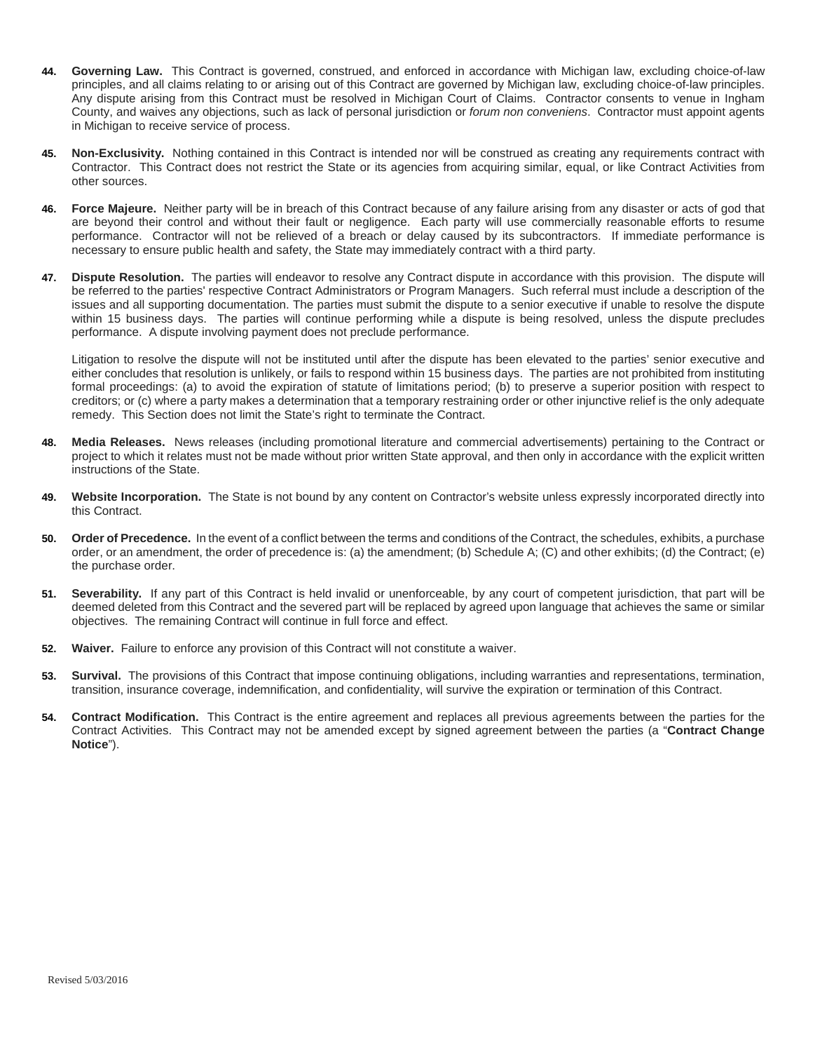- **44. Governing Law.** This Contract is governed, construed, and enforced in accordance with Michigan law, excluding choice-of-law principles, and all claims relating to or arising out of this Contract are governed by Michigan law, excluding choice-of-law principles. Any dispute arising from this Contract must be resolved in Michigan Court of Claims. Contractor consents to venue in Ingham County, and waives any objections, such as lack of personal jurisdiction or *forum non conveniens*. Contractor must appoint agents in Michigan to receive service of process.
- **45. Non-Exclusivity.** Nothing contained in this Contract is intended nor will be construed as creating any requirements contract with Contractor. This Contract does not restrict the State or its agencies from acquiring similar, equal, or like Contract Activities from other sources.
- **46. Force Majeure.** Neither party will be in breach of this Contract because of any failure arising from any disaster or acts of god that are beyond their control and without their fault or negligence. Each party will use commercially reasonable efforts to resume performance. Contractor will not be relieved of a breach or delay caused by its subcontractors. If immediate performance is necessary to ensure public health and safety, the State may immediately contract with a third party.
- **47. Dispute Resolution.** The parties will endeavor to resolve any Contract dispute in accordance with this provision. The dispute will be referred to the parties' respective Contract Administrators or Program Managers. Such referral must include a description of the issues and all supporting documentation. The parties must submit the dispute to a senior executive if unable to resolve the dispute within 15 business days. The parties will continue performing while a dispute is being resolved, unless the dispute precludes performance. A dispute involving payment does not preclude performance.

Litigation to resolve the dispute will not be instituted until after the dispute has been elevated to the parties' senior executive and either concludes that resolution is unlikely, or fails to respond within 15 business days. The parties are not prohibited from instituting formal proceedings: (a) to avoid the expiration of statute of limitations period; (b) to preserve a superior position with respect to creditors; or (c) where a party makes a determination that a temporary restraining order or other injunctive relief is the only adequate remedy. This Section does not limit the State's right to terminate the Contract.

- **48. Media Releases.** News releases (including promotional literature and commercial advertisements) pertaining to the Contract or project to which it relates must not be made without prior written State approval, and then only in accordance with the explicit written instructions of the State.
- **49. Website Incorporation.** The State is not bound by any content on Contractor's website unless expressly incorporated directly into this Contract.
- **50. Order of Precedence.** In the event of a conflict between the terms and conditions of the Contract, the schedules, exhibits, a purchase order, or an amendment, the order of precedence is: (a) the amendment; (b) Schedule A; (C) and other exhibits; (d) the Contract; (e) the purchase order.
- **51. Severability.** If any part of this Contract is held invalid or unenforceable, by any court of competent jurisdiction, that part will be deemed deleted from this Contract and the severed part will be replaced by agreed upon language that achieves the same or similar objectives. The remaining Contract will continue in full force and effect.
- **52. Waiver.** Failure to enforce any provision of this Contract will not constitute a waiver.
- **53. Survival.** The provisions of this Contract that impose continuing obligations, including warranties and representations, termination, transition, insurance coverage, indemnification, and confidentiality, will survive the expiration or termination of this Contract.
- **54. Contract Modification.** This Contract is the entire agreement and replaces all previous agreements between the parties for the Contract Activities. This Contract may not be amended except by signed agreement between the parties (a "**Contract Change Notice**").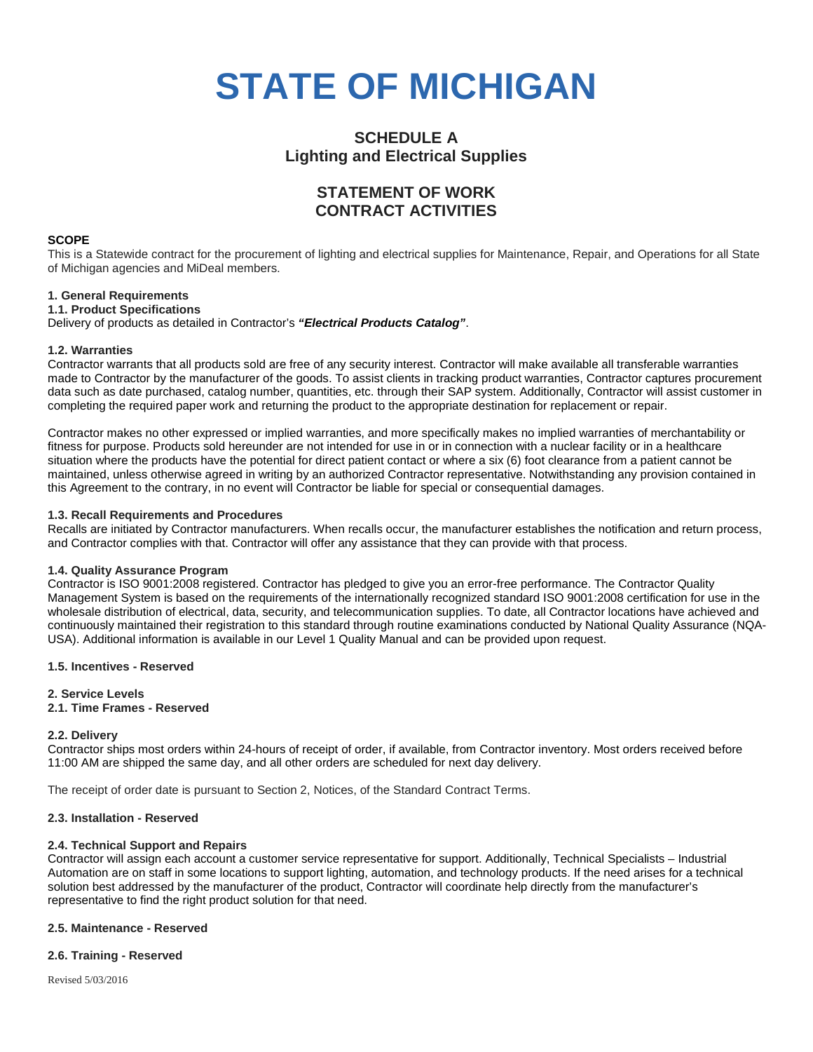# **STATE OF MICHIGAN**

### **SCHEDULE A Lighting and Electrical Supplies**

## **STATEMENT OF WORK CONTRACT ACTIVITIES**

#### **SCOPE**

This is a Statewide contract for the procurement of lighting and electrical supplies for Maintenance, Repair, and Operations for all State of Michigan agencies and MiDeal members.

#### **1. General Requirements**

#### **1.1. Product Specifications**

Delivery of products as detailed in Contractor's *"Electrical Products Catalog"*.

#### **1.2. Warranties**

Contractor warrants that all products sold are free of any security interest. Contractor will make available all transferable warranties made to Contractor by the manufacturer of the goods. To assist clients in tracking product warranties, Contractor captures procurement data such as date purchased, catalog number, quantities, etc. through their SAP system. Additionally, Contractor will assist customer in completing the required paper work and returning the product to the appropriate destination for replacement or repair.

Contractor makes no other expressed or implied warranties, and more specifically makes no implied warranties of merchantability or fitness for purpose. Products sold hereunder are not intended for use in or in connection with a nuclear facility or in a healthcare situation where the products have the potential for direct patient contact or where a six (6) foot clearance from a patient cannot be maintained, unless otherwise agreed in writing by an authorized Contractor representative. Notwithstanding any provision contained in this Agreement to the contrary, in no event will Contractor be liable for special or consequential damages.

#### **1.3. Recall Requirements and Procedures**

Recalls are initiated by Contractor manufacturers. When recalls occur, the manufacturer establishes the notification and return process, and Contractor complies with that. Contractor will offer any assistance that they can provide with that process.

#### **1.4. Quality Assurance Program**

Contractor is ISO 9001:2008 registered. Contractor has pledged to give you an error-free performance. The Contractor Quality Management System is based on the requirements of the internationally recognized standard ISO 9001:2008 certification for use in the wholesale distribution of electrical, data, security, and telecommunication supplies. To date, all Contractor locations have achieved and continuously maintained their registration to this standard through routine examinations conducted by National Quality Assurance (NQA-USA). Additional information is available in our Level 1 Quality Manual and can be provided upon request.

#### **1.5. Incentives - Reserved**

#### **2. Service Levels**

#### **2.1. Time Frames - Reserved**

#### **2.2. Delivery**

Contractor ships most orders within 24-hours of receipt of order, if available, from Contractor inventory. Most orders received before 11:00 AM are shipped the same day, and all other orders are scheduled for next day delivery.

The receipt of order date is pursuant to Section 2, Notices, of the Standard Contract Terms.

#### **2.3. Installation - Reserved**

#### **2.4. Technical Support and Repairs**

Contractor will assign each account a customer service representative for support. Additionally, Technical Specialists – Industrial Automation are on staff in some locations to support lighting, automation, and technology products. If the need arises for a technical solution best addressed by the manufacturer of the product, Contractor will coordinate help directly from the manufacturer's representative to find the right product solution for that need.

#### **2.5. Maintenance - Reserved**

#### **2.6. Training - Reserved**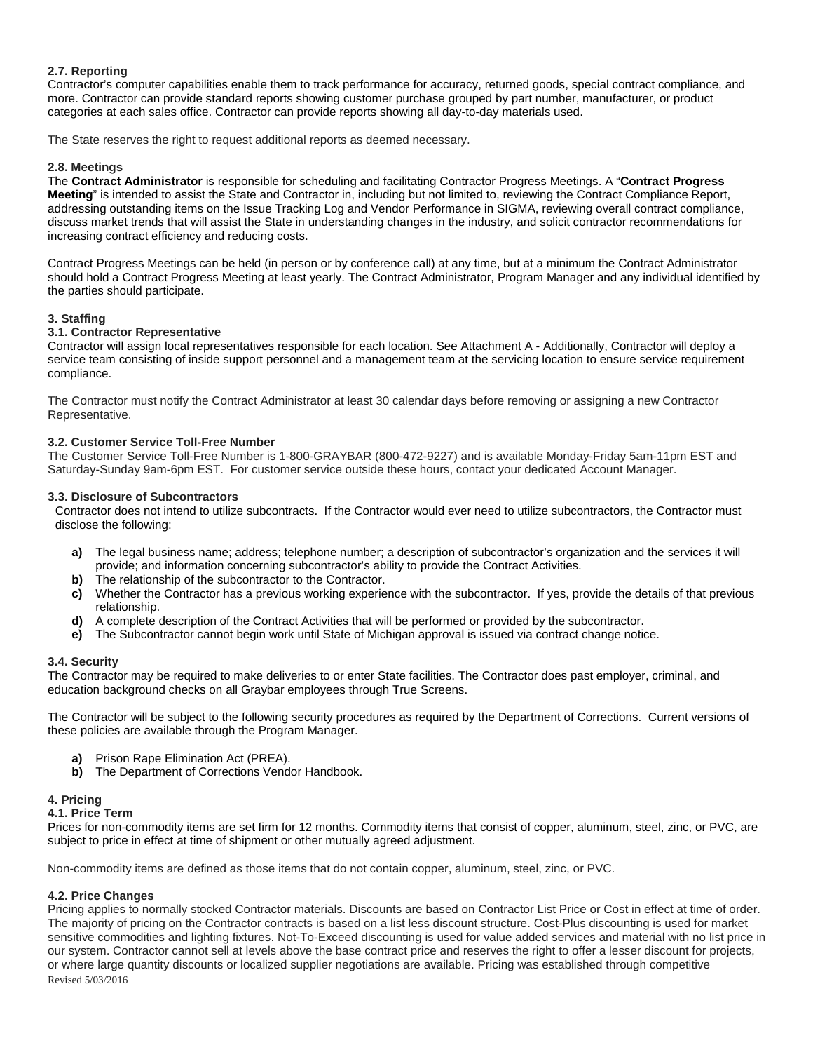#### **2.7. Reporting**

Contractor's computer capabilities enable them to track performance for accuracy, returned goods, special contract compliance, and more. Contractor can provide standard reports showing customer purchase grouped by part number, manufacturer, or product categories at each sales office. Contractor can provide reports showing all day-to-day materials used.

The State reserves the right to request additional reports as deemed necessary.

#### **2.8. Meetings**

The **Contract Administrator** is responsible for scheduling and facilitating Contractor Progress Meetings. A "**Contract Progress Meeting**" is intended to assist the State and Contractor in, including but not limited to, reviewing the Contract Compliance Report, addressing outstanding items on the Issue Tracking Log and Vendor Performance in SIGMA, reviewing overall contract compliance, discuss market trends that will assist the State in understanding changes in the industry, and solicit contractor recommendations for increasing contract efficiency and reducing costs.

Contract Progress Meetings can be held (in person or by conference call) at any time, but at a minimum the Contract Administrator should hold a Contract Progress Meeting at least yearly. The Contract Administrator, Program Manager and any individual identified by the parties should participate.

#### **3. Staffing**

#### **3.1. Contractor Representative**

Contractor will assign local representatives responsible for each location. See Attachment A - Additionally, Contractor will deploy a service team consisting of inside support personnel and a management team at the servicing location to ensure service requirement compliance.

The Contractor must notify the Contract Administrator at least 30 calendar days before removing or assigning a new Contractor Representative.

#### **3.2. Customer Service Toll-Free Number**

The Customer Service Toll-Free Number is 1-800-GRAYBAR (800-472-9227) and is available Monday-Friday 5am-11pm EST and Saturday-Sunday 9am-6pm EST. For customer service outside these hours, contact your dedicated Account Manager.

#### **3.3. Disclosure of Subcontractors**

Contractor does not intend to utilize subcontracts. If the Contractor would ever need to utilize subcontractors, the Contractor must disclose the following:

- **a)** The legal business name; address; telephone number; a description of subcontractor's organization and the services it will provide; and information concerning subcontractor's ability to provide the Contract Activities.
- **b)** The relationship of the subcontractor to the Contractor.
- **c)** Whether the Contractor has a previous working experience with the subcontractor. If yes, provide the details of that previous relationship.
- **d)** A complete description of the Contract Activities that will be performed or provided by the subcontractor.
- **e)** The Subcontractor cannot begin work until State of Michigan approval is issued via contract change notice.

#### **3.4. Security**

The Contractor may be required to make deliveries to or enter State facilities. The Contractor does past employer, criminal, and education background checks on all Graybar employees through True Screens.

The Contractor will be subject to the following security procedures as required by the Department of Corrections. Current versions of these policies are available through the Program Manager.

- **a)** Prison Rape Elimination Act (PREA).
- **b)** The Department of Corrections Vendor Handbook.

#### **4. Pricing**

#### **4.1. Price Term**

Prices for non-commodity items are set firm for 12 months. Commodity items that consist of copper, aluminum, steel, zinc, or PVC, are subject to price in effect at time of shipment or other mutually agreed adjustment.

Non-commodity items are defined as those items that do not contain copper, aluminum, steel, zinc, or PVC.

#### **4.2. Price Changes**

Revised 5/03/2016 Pricing applies to normally stocked Contractor materials. Discounts are based on Contractor List Price or Cost in effect at time of order. The majority of pricing on the Contractor contracts is based on a list less discount structure. Cost-Plus discounting is used for market sensitive commodities and lighting fixtures. Not-To-Exceed discounting is used for value added services and material with no list price in our system. Contractor cannot sell at levels above the base contract price and reserves the right to offer a lesser discount for projects, or where large quantity discounts or localized supplier negotiations are available. Pricing was established through competitive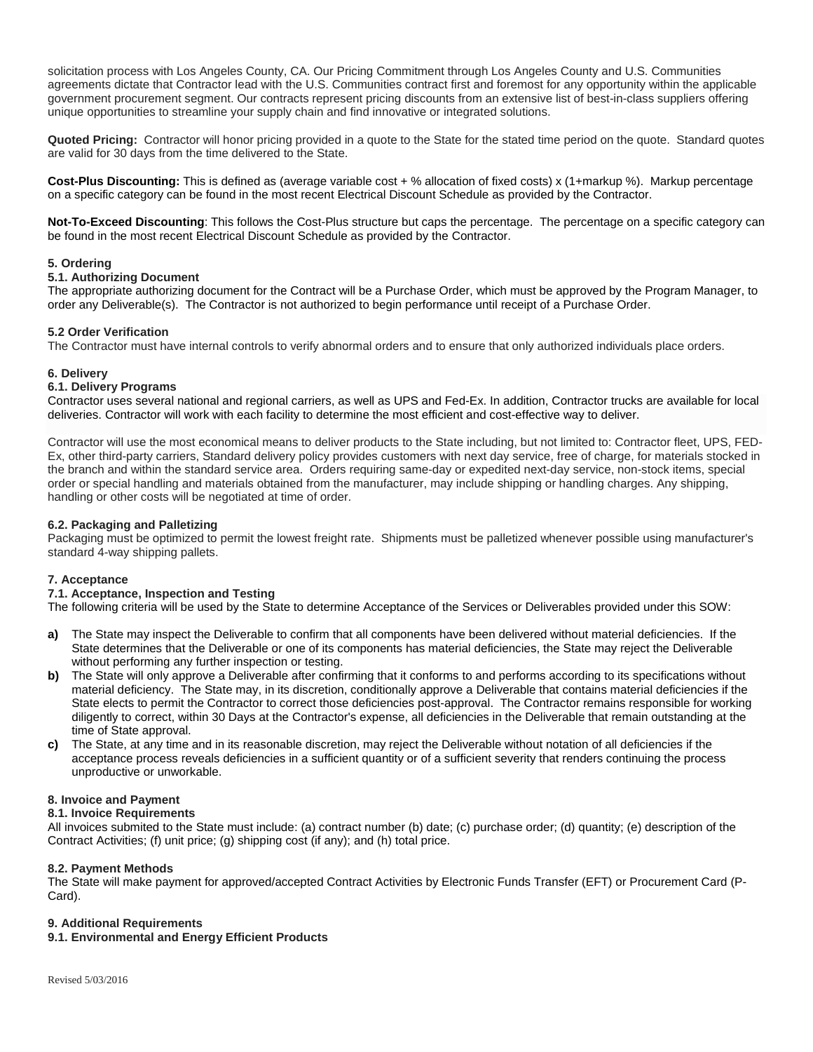solicitation process with Los Angeles County, CA. Our Pricing Commitment through Los Angeles County and U.S. Communities agreements dictate that Contractor lead with the U.S. Communities contract first and foremost for any opportunity within the applicable government procurement segment. Our contracts represent pricing discounts from an extensive list of best-in-class suppliers offering unique opportunities to streamline your supply chain and find innovative or integrated solutions.

**Quoted Pricing:** Contractor will honor pricing provided in a quote to the State for the stated time period on the quote. Standard quotes are valid for 30 days from the time delivered to the State.

**Cost-Plus Discounting:** This is defined as (average variable cost + % allocation of fixed costs) x (1+markup %). Markup percentage on a specific category can be found in the most recent Electrical Discount Schedule as provided by the Contractor.

**Not-To-Exceed Discounting**: This follows the Cost-Plus structure but caps the percentage. The percentage on a specific category can be found in the most recent Electrical Discount Schedule as provided by the Contractor.

#### **5. Ordering**

#### **5.1. Authorizing Document**

The appropriate authorizing document for the Contract will be a Purchase Order, which must be approved by the Program Manager, to order any Deliverable(s). The Contractor is not authorized to begin performance until receipt of a Purchase Order.

#### **5.2 Order Verification**

The Contractor must have internal controls to verify abnormal orders and to ensure that only authorized individuals place orders.

#### **6. Delivery**

#### **6.1. Delivery Programs**

Contractor uses several national and regional carriers, as well as UPS and Fed-Ex. In addition, Contractor trucks are available for local deliveries. Contractor will work with each facility to determine the most efficient and cost-effective way to deliver.

Contractor will use the most economical means to deliver products to the State including, but not limited to: Contractor fleet, UPS, FED-Ex, other third-party carriers, Standard delivery policy provides customers with next day service, free of charge, for materials stocked in the branch and within the standard service area. Orders requiring same-day or expedited next-day service, non-stock items, special order or special handling and materials obtained from the manufacturer, may include shipping or handling charges. Any shipping, handling or other costs will be negotiated at time of order.

#### **6.2. Packaging and Palletizing**

Packaging must be optimized to permit the lowest freight rate. Shipments must be palletized whenever possible using manufacturer's standard 4-way shipping pallets.

#### **7. Acceptance**

#### **7.1. Acceptance, Inspection and Testing**

The following criteria will be used by the State to determine Acceptance of the Services or Deliverables provided under this SOW:

- **a)** The State may inspect the Deliverable to confirm that all components have been delivered without material deficiencies. If the State determines that the Deliverable or one of its components has material deficiencies, the State may reject the Deliverable without performing any further inspection or testing.
- **b)** The State will only approve a Deliverable after confirming that it conforms to and performs according to its specifications without material deficiency. The State may, in its discretion, conditionally approve a Deliverable that contains material deficiencies if the State elects to permit the Contractor to correct those deficiencies post-approval. The Contractor remains responsible for working diligently to correct, within 30 Days at the Contractor's expense, all deficiencies in the Deliverable that remain outstanding at the time of State approval.
- **c)** The State, at any time and in its reasonable discretion, may reject the Deliverable without notation of all deficiencies if the acceptance process reveals deficiencies in a sufficient quantity or of a sufficient severity that renders continuing the process unproductive or unworkable.

#### **8. Invoice and Payment**

#### **8.1. Invoice Requirements**

All invoices submited to the State must include: (a) contract number (b) date; (c) purchase order; (d) quantity; (e) description of the Contract Activities; (f) unit price; (g) shipping cost (if any); and (h) total price.

#### **8.2. Payment Methods**

The State will make payment for approved/accepted Contract Activities by Electronic Funds Transfer (EFT) or Procurement Card (P-Card).

#### **9. Additional Requirements**

#### **9.1. Environmental and Energy Efficient Products**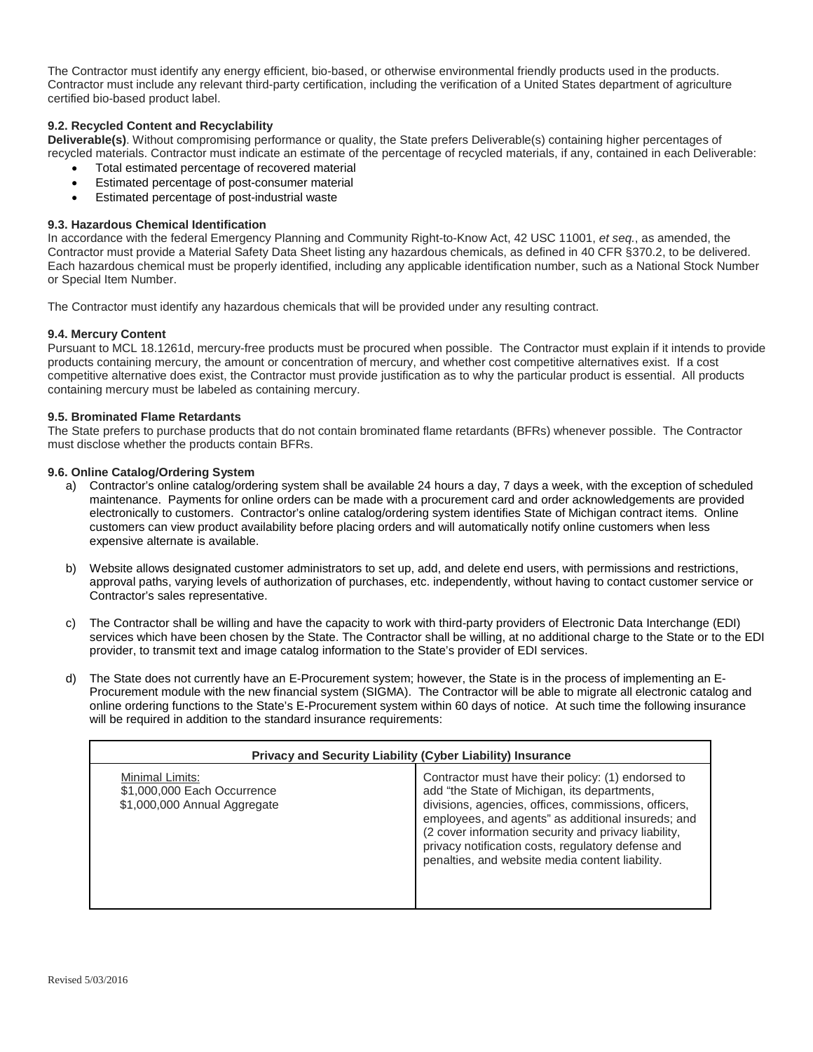The Contractor must identify any energy efficient, bio-based, or otherwise environmental friendly products used in the products. Contractor must include any relevant third-party certification, including the verification of a United States department of agriculture certified bio-based product label.

#### **9.2. Recycled Content and Recyclability**

**Deliverable(s)**. Without compromising performance or quality, the State prefers Deliverable(s) containing higher percentages of recycled materials. Contractor must indicate an estimate of the percentage of recycled materials, if any, contained in each Deliverable:

- Total estimated percentage of recovered material
- Estimated percentage of post-consumer material
- Estimated percentage of post-industrial waste

#### **9.3. Hazardous Chemical Identification**

In accordance with the federal Emergency Planning and Community Right-to-Know Act, 42 USC 11001, *et seq.*, as amended, the Contractor must provide a Material Safety Data Sheet listing any hazardous chemicals, as defined in 40 CFR §370.2, to be delivered. Each hazardous chemical must be properly identified, including any applicable identification number, such as a National Stock Number or Special Item Number.

The Contractor must identify any hazardous chemicals that will be provided under any resulting contract.

#### **9.4. Mercury Content**

Pursuant to MCL 18.1261d, mercury-free products must be procured when possible. The Contractor must explain if it intends to provide products containing mercury, the amount or concentration of mercury, and whether cost competitive alternatives exist. If a cost competitive alternative does exist, the Contractor must provide justification as to why the particular product is essential. All products containing mercury must be labeled as containing mercury.

#### **9.5. Brominated Flame Retardants**

The State prefers to purchase products that do not contain brominated flame retardants (BFRs) whenever possible. The Contractor must disclose whether the products contain BFRs.

#### **9.6. Online Catalog/Ordering System**

- a) Contractor's online catalog/ordering system shall be available 24 hours a day, 7 days a week, with the exception of scheduled maintenance. Payments for online orders can be made with a procurement card and order acknowledgements are provided electronically to customers. Contractor's online catalog/ordering system identifies State of Michigan contract items. Online customers can view product availability before placing orders and will automatically notify online customers when less expensive alternate is available.
- b) Website allows designated customer administrators to set up, add, and delete end users, with permissions and restrictions, approval paths, varying levels of authorization of purchases, etc. independently, without having to contact customer service or Contractor's sales representative.
- c) The Contractor shall be willing and have the capacity to work with third-party providers of Electronic Data Interchange (EDI) services which have been chosen by the State. The Contractor shall be willing, at no additional charge to the State or to the EDI provider, to transmit text and image catalog information to the State's provider of EDI services.
- d) The State does not currently have an E-Procurement system; however, the State is in the process of implementing an E-Procurement module with the new financial system (SIGMA). The Contractor will be able to migrate all electronic catalog and online ordering functions to the State's E-Procurement system within 60 days of notice. At such time the following insurance will be required in addition to the standard insurance requirements:

| <b>Privacy and Security Liability (Cyber Liability) Insurance</b>              |                                                                                                                                                                                                                                                                                                                                                                                   |  |  |  |
|--------------------------------------------------------------------------------|-----------------------------------------------------------------------------------------------------------------------------------------------------------------------------------------------------------------------------------------------------------------------------------------------------------------------------------------------------------------------------------|--|--|--|
| Minimal Limits:<br>\$1,000,000 Each Occurrence<br>\$1,000,000 Annual Aggregate | Contractor must have their policy: (1) endorsed to<br>add "the State of Michigan, its departments,<br>divisions, agencies, offices, commissions, officers,<br>employees, and agents" as additional insureds; and<br>(2 cover information security and privacy liability,<br>privacy notification costs, regulatory defense and<br>penalties, and website media content liability. |  |  |  |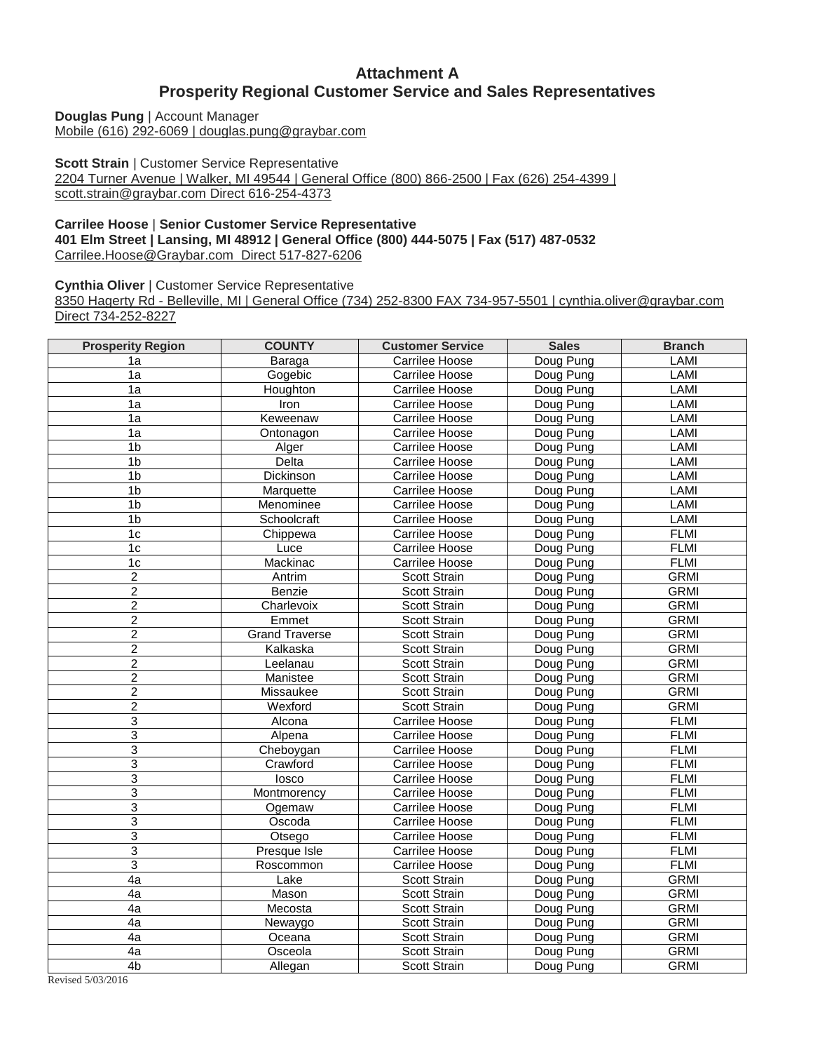### **Attachment A Prosperity Regional Customer Service and Sales Representatives**

**Douglas Pung** | Account Manager [Mobile \(616\) 292-6069 | douglas.pung@graybar.com](mailto:douglas.pung@graybar.com)

**Scott Strain** | Customer Service Representative [2204 Turner Avenue | Walker, MI 49544 | General Office \(800\) 866-2500 | Fax \(626\) 254-4399 |](mailto:scott.strain@graybar.com)  [scott.strain@graybar.com Direct 616-254-4373](mailto:scott.strain@graybar.com)

#### **Carrilee Hoose** | **Senior Customer Service Representative 401 Elm Street | Lansing, MI 48912 | General Office (800) 444-5075 | Fax (517) 487-0532** [Carrilee.Hoose@Graybar.com](mailto:Carrilee.Hoose@Graybar.com%C2%A0%20Direct%20517-827-6206) Direct 517-827-6206

**Cynthia Oliver** | Customer Service Representative

8350 Hagerty Rd - [Belleville, MI | General Office \(734\) 252-8300 FAX 734-957-5501 | cynthia.oliver@graybar.com](mailto:cynthia.oliver@graybar.com)  [Direct 734-252-8227](mailto:cynthia.oliver@graybar.com)

| <b>Prosperity Region</b> | <b>COUNTY</b>         | <b>Customer Service</b> | <b>Sales</b> | <b>Branch</b> |
|--------------------------|-----------------------|-------------------------|--------------|---------------|
| 1a                       | Baraga                | Carrilee Hoose          | Doug Pung    | LAMI          |
| 1a                       | Gogebic               | Carrilee Hoose          | Doug Pung    | LAMI          |
| 1a                       | Houghton              | Carrilee Hoose          | Doug Pung    | LAMI          |
| 1a                       | Iron                  | Carrilee Hoose          | Doug Pung    | LAMI          |
| 1a                       | Keweenaw              | Carrilee Hoose          | Doug Pung    | LAMI          |
| 1a                       | Ontonagon             | Carrilee Hoose          | Doug Pung    | LAMI          |
| 1 <sub>b</sub>           | Alger                 | Carrilee Hoose          | Doug Pung    | LAMI          |
| 1 <sub>b</sub>           | Delta                 | Carrilee Hoose          | Doug Pung    | <b>LAMI</b>   |
| 1 <sub>b</sub>           | Dickinson             | Carrilee Hoose          | Doug Pung    | LAMI          |
| 1 <sub>b</sub>           | Marquette             | Carrilee Hoose          | Doug Pung    | LAMI          |
| 1 <sub>b</sub>           | Menominee             | Carrilee Hoose          | Doug Pung    | <b>LAMI</b>   |
| 1b                       | Schoolcraft           | Carrilee Hoose          | Doug Pung    | LAMI          |
| 1c                       | Chippewa              | Carrilee Hoose          | Doug Pung    | <b>FLMI</b>   |
| 1c                       | Luce                  | Carrilee Hoose          | Doug Pung    | <b>FLMI</b>   |
| 1c                       | Mackinac              | Carrilee Hoose          | Doug Pung    | <b>FLMI</b>   |
| $\overline{c}$           | Antrim                | Scott Strain            | Doug Pung    | <b>GRMI</b>   |
| $\overline{2}$           | Benzie                | Scott Strain            | Doug Pung    | <b>GRMI</b>   |
| $\overline{2}$           | Charlevoix            | Scott Strain            | Doug Pung    | <b>GRMI</b>   |
| $\overline{\mathbf{c}}$  | Emmet                 | Scott Strain            | Doug Pung    | <b>GRMI</b>   |
| $\overline{2}$           | <b>Grand Traverse</b> | Scott Strain            | Doug Pung    | <b>GRMI</b>   |
| $\overline{c}$           | Kalkaska              | Scott Strain            | Doug Pung    | <b>GRMI</b>   |
| $\overline{c}$           | Leelanau              | Scott Strain            | Doug Pung    | <b>GRMI</b>   |
| $\overline{2}$           | Manistee              | Scott Strain            | Doug Pung    | <b>GRMI</b>   |
| $\overline{2}$           | Missaukee             | Scott Strain            | Doug Pung    | <b>GRMI</b>   |
| $\overline{\mathbf{c}}$  | Wexford               | Scott Strain            | Doug Pung    | <b>GRMI</b>   |
| $\overline{3}$           | Alcona                | Carrilee Hoose          | Doug Pung    | <b>FLMI</b>   |
| 3                        | Alpena                | Carrilee Hoose          | Doug Pung    | <b>FLMI</b>   |
| 3                        | Cheboygan             | Carrilee Hoose          | Doug Pung    | <b>FLMI</b>   |
| $\overline{3}$           | Crawford              | Carrilee Hoose          | Doug Pung    | <b>FLMI</b>   |
| 3                        | losco                 | Carrilee Hoose          | Doug Pung    | <b>FLMI</b>   |
| 3                        | Montmorency           | Carrilee Hoose          | Doug Pung    | <b>FLMI</b>   |
| 3                        | Ogemaw                | Carrilee Hoose          | Doug Pung    | <b>FLMI</b>   |
| 3                        | Oscoda                | Carrilee Hoose          | Doug Pung    | <b>FLMI</b>   |
| 3                        | Otsego                | Carrilee Hoose          | Doug Pung    | <b>FLMI</b>   |
| $\overline{3}$           | Presque Isle          | Carrilee Hoose          | Doug Pung    | <b>FLMI</b>   |
| $\overline{3}$           | Roscommon             | Carrilee Hoose          | Doug Pung    | <b>FLMI</b>   |
| 4a                       | Lake                  | Scott Strain            | Doug Pung    | <b>GRMI</b>   |
| 4a                       | Mason                 | Scott Strain            | Doug Pung    | <b>GRMI</b>   |
| 4a                       | Mecosta               | Scott Strain            | Doug Pung    | <b>GRMI</b>   |
| 4a                       | Newaygo               | Scott Strain            | Doug Pung    | <b>GRMI</b>   |
| 4a                       | Oceana                | Scott Strain            | Doug Pung    | <b>GRMI</b>   |
| 4a                       | Osceola               | Scott Strain            | Doug Pung    | <b>GRMI</b>   |
| 4 <sub>b</sub>           | Allegan               | Scott Strain            | Doug Pung    | <b>GRMI</b>   |